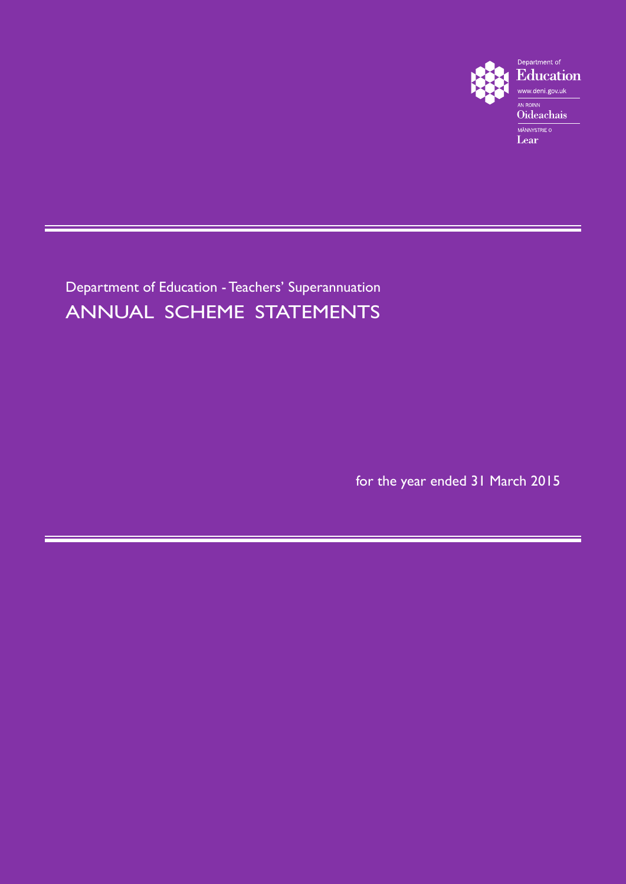

Department of Education - Teachers' Superannuation ANNUAL SCHEME STATEMENTS

for the year ended 31 March 2015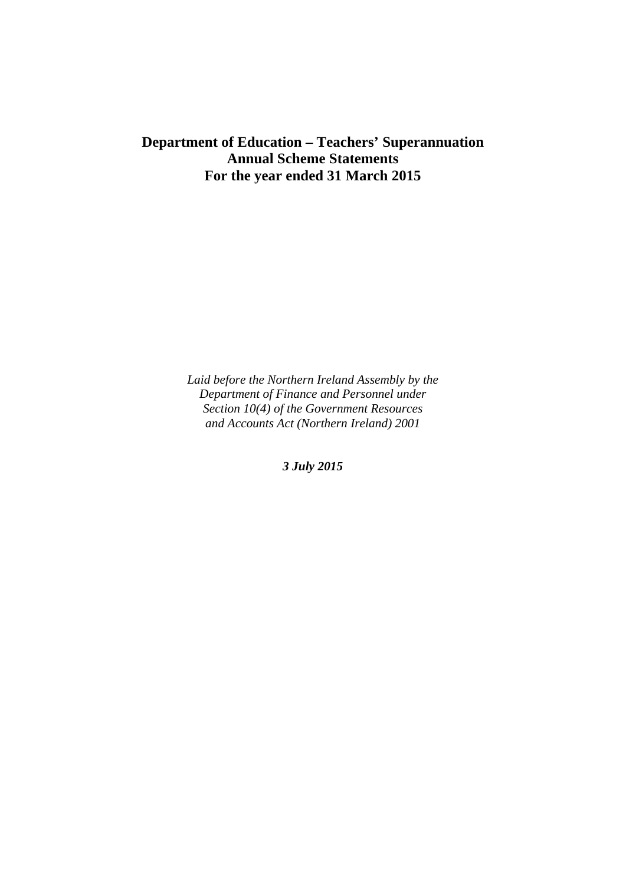### **Department of Education – Teachers' Superannuation Annual Scheme Statements For the year ended 31 March 2015**

*Laid before the Northern Ireland Assembly by the Department of Finance and Personnel under Section 10(4) of the Government Resources and Accounts Act (Northern Ireland) 2001* 

*3 July 2015*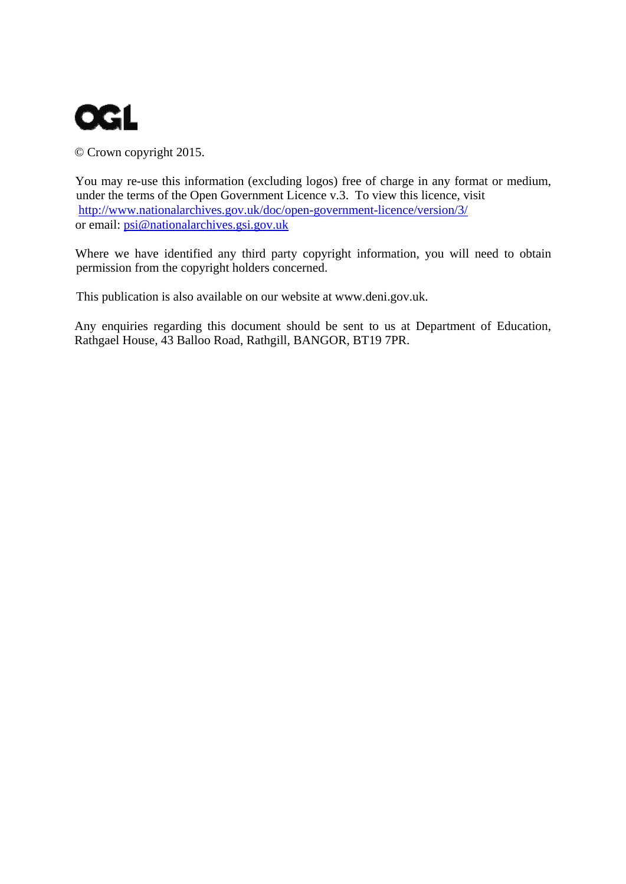

© Crown copyright 2015.

You may re-use this information (excluding logos) free of charge in any format or medium, under the terms of the Open Government Licence v.3. To view this licence, visit http://www.nationalarchives.gov.uk/doc/open-government-licence/version/3/ or email: psi@nationalarchives.gsi.gov.uk

Where we have identified any third party copyright information, you will need to obtain permission from the copyright holders concerned.

This publication is also available on our website at www.deni.gov.uk.

Any enquiries regarding this document should be sent to us at Department of Education, Rathgael House, 43 Balloo Road, Rathgill, BANGOR, BT19 7PR.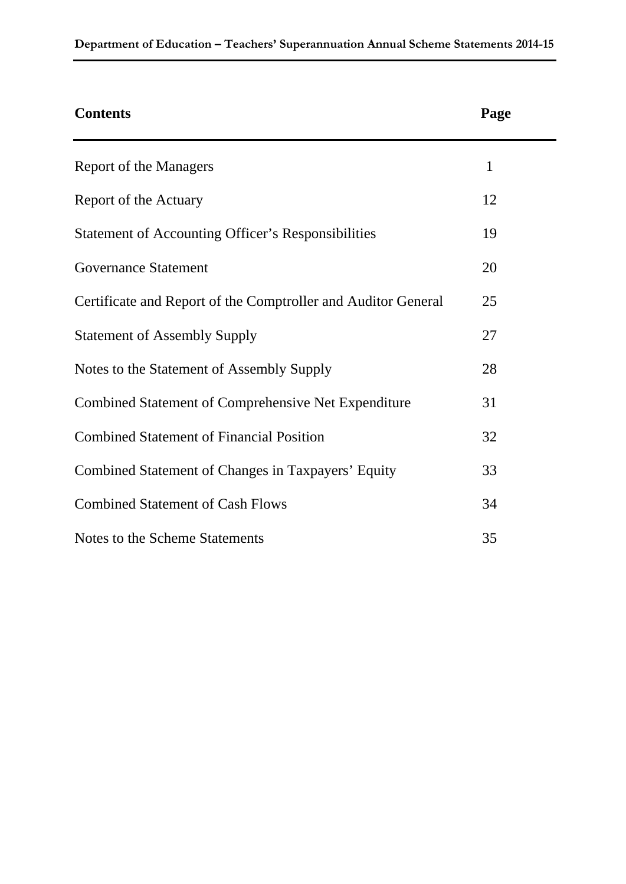| <b>Contents</b>                                               | Page |
|---------------------------------------------------------------|------|
| Report of the Managers                                        | 1    |
| Report of the Actuary                                         | 12   |
| <b>Statement of Accounting Officer's Responsibilities</b>     | 19   |
| <b>Governance Statement</b>                                   | 20   |
| Certificate and Report of the Comptroller and Auditor General | 25   |
| <b>Statement of Assembly Supply</b>                           | 27   |
| Notes to the Statement of Assembly Supply                     | 28   |
| <b>Combined Statement of Comprehensive Net Expenditure</b>    | 31   |
| <b>Combined Statement of Financial Position</b>               | 32   |
| Combined Statement of Changes in Taxpayers' Equity            | 33   |
| <b>Combined Statement of Cash Flows</b>                       | 34   |
| Notes to the Scheme Statements                                | 35   |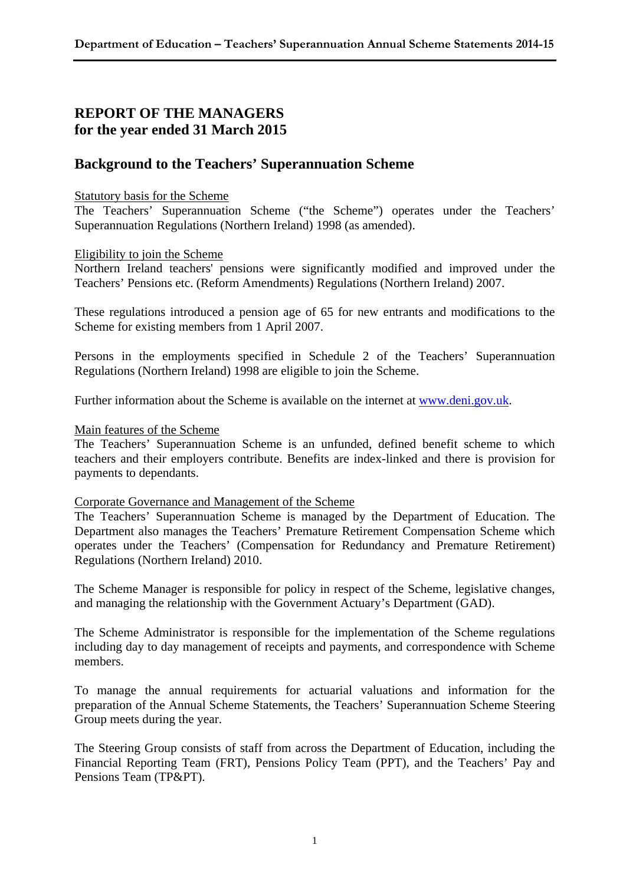### **REPORT OF THE MANAGERS for the year ended 31 March 2015**

### **Background to the Teachers' Superannuation Scheme**

#### Statutory basis for the Scheme

The Teachers' Superannuation Scheme ("the Scheme") operates under the Teachers' Superannuation Regulations (Northern Ireland) 1998 (as amended).

#### Eligibility to join the Scheme

Northern Ireland teachers' pensions were significantly modified and improved under the Teachers' Pensions etc. (Reform Amendments) Regulations (Northern Ireland) 2007.

These regulations introduced a pension age of 65 for new entrants and modifications to the Scheme for existing members from 1 April 2007.

Persons in the employments specified in Schedule 2 of the Teachers' Superannuation Regulations (Northern Ireland) 1998 are eligible to join the Scheme.

Further information about the Scheme is available on the internet at www.deni.gov.uk.

#### Main features of the Scheme

The Teachers' Superannuation Scheme is an unfunded, defined benefit scheme to which teachers and their employers contribute. Benefits are index-linked and there is provision for payments to dependants.

#### Corporate Governance and Management of the Scheme

The Teachers' Superannuation Scheme is managed by the Department of Education. The Department also manages the Teachers' Premature Retirement Compensation Scheme which operates under the Teachers' (Compensation for Redundancy and Premature Retirement) Regulations (Northern Ireland) 2010.

The Scheme Manager is responsible for policy in respect of the Scheme, legislative changes, and managing the relationship with the Government Actuary's Department (GAD).

The Scheme Administrator is responsible for the implementation of the Scheme regulations including day to day management of receipts and payments, and correspondence with Scheme members.

To manage the annual requirements for actuarial valuations and information for the preparation of the Annual Scheme Statements, the Teachers' Superannuation Scheme Steering Group meets during the year.

The Steering Group consists of staff from across the Department of Education, including the Financial Reporting Team (FRT), Pensions Policy Team (PPT), and the Teachers' Pay and Pensions Team (TP&PT).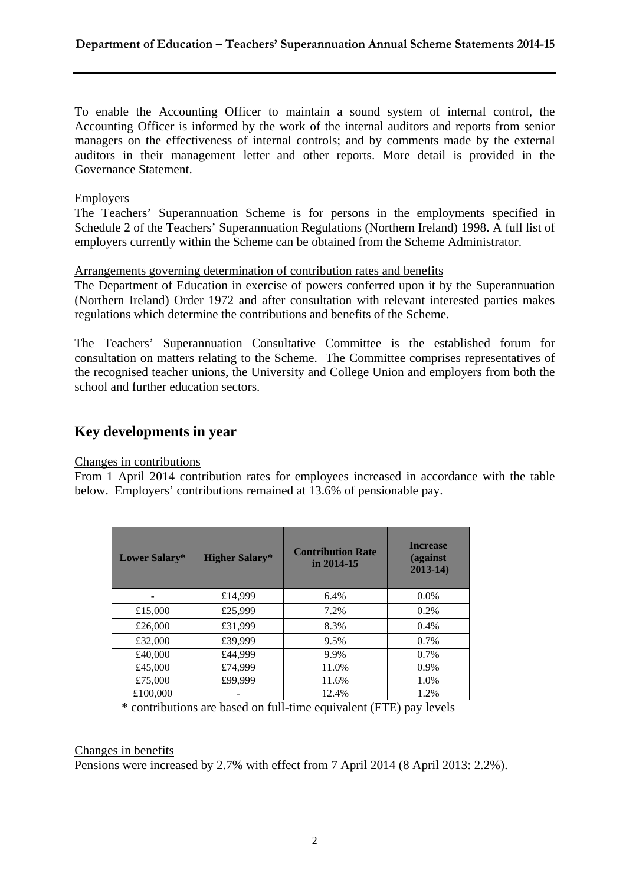To enable the Accounting Officer to maintain a sound system of internal control, the Accounting Officer is informed by the work of the internal auditors and reports from senior managers on the effectiveness of internal controls; and by comments made by the external auditors in their management letter and other reports. More detail is provided in the Governance Statement.

#### **Employers**

The Teachers' Superannuation Scheme is for persons in the employments specified in Schedule 2 of the Teachers' Superannuation Regulations (Northern Ireland) 1998. A full list of employers currently within the Scheme can be obtained from the Scheme Administrator.

#### Arrangements governing determination of contribution rates and benefits

The Department of Education in exercise of powers conferred upon it by the Superannuation (Northern Ireland) Order 1972 and after consultation with relevant interested parties makes regulations which determine the contributions and benefits of the Scheme.

The Teachers' Superannuation Consultative Committee is the established forum for consultation on matters relating to the Scheme. The Committee comprises representatives of the recognised teacher unions, the University and College Union and employers from both the school and further education sectors.

### **Key developments in year**

#### Changes in contributions

From 1 April 2014 contribution rates for employees increased in accordance with the table below. Employers' contributions remained at 13.6% of pensionable pay.

| Lower Salary* | <b>Higher Salary*</b> | <b>Contribution Rate</b><br>in $2014 - 15$ | <b>Increase</b><br>(against<br>$2013 - 14$ |
|---------------|-----------------------|--------------------------------------------|--------------------------------------------|
|               | £14,999               | 6.4%                                       | $0.0\%$                                    |
| £15,000       | £25,999               | 7.2%                                       | $0.2\%$                                    |
| £26,000       | £31,999               | 8.3%                                       | $0.4\%$                                    |
| £32,000       | £39,999               | 9.5%                                       | $0.7\%$                                    |
| £40,000       | £44,999               | 9.9%                                       | 0.7%                                       |
| £45,000       | £74,999               | 11.0%                                      | 0.9%                                       |
| £75,000       | £99,999               | 11.6%                                      | 1.0%                                       |
| £100,000      |                       | 12.4%                                      | 1.2%                                       |

\* contributions are based on full-time equivalent (FTE) pay levels

#### Changes in benefits

Pensions were increased by 2.7% with effect from 7 April 2014 (8 April 2013: 2.2%).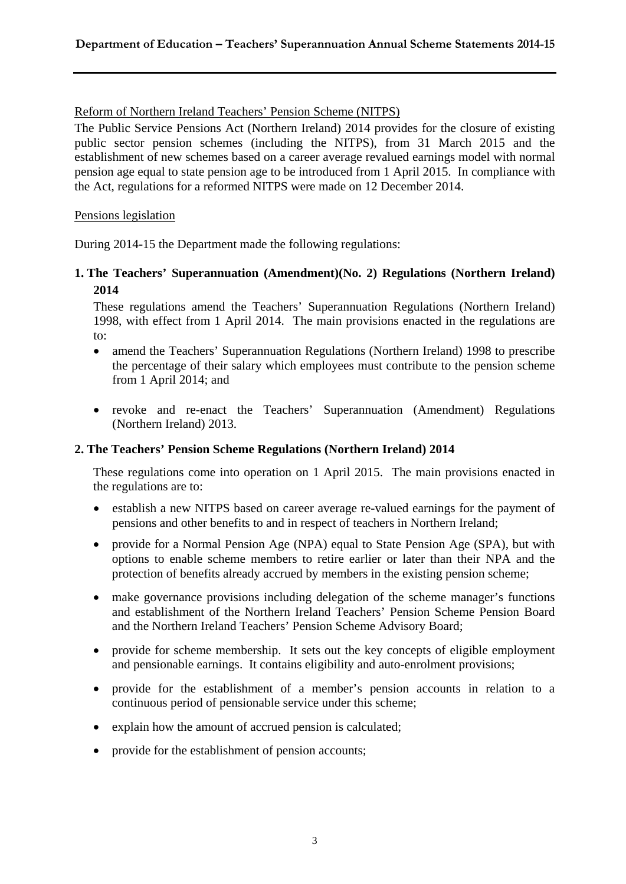#### Reform of Northern Ireland Teachers' Pension Scheme (NITPS)

The Public Service Pensions Act (Northern Ireland) 2014 provides for the closure of existing public sector pension schemes (including the NITPS), from 31 March 2015 and the establishment of new schemes based on a career average revalued earnings model with normal pension age equal to state pension age to be introduced from 1 April 2015. In compliance with the Act, regulations for a reformed NITPS were made on 12 December 2014.

#### Pensions legislation

During 2014-15 the Department made the following regulations:

**1. The Teachers' Superannuation (Amendment)(No. 2) Regulations (Northern Ireland) 2014**

These regulations amend the Teachers' Superannuation Regulations (Northern Ireland) 1998, with effect from 1 April 2014. The main provisions enacted in the regulations are to:

- amend the Teachers' Superannuation Regulations (Northern Ireland) 1998 to prescribe the percentage of their salary which employees must contribute to the pension scheme from 1 April 2014; and
- revoke and re-enact the Teachers' Superannuation (Amendment) Regulations (Northern Ireland) 2013.

#### **2. The Teachers' Pension Scheme Regulations (Northern Ireland) 2014**

These regulations come into operation on 1 April 2015. The main provisions enacted in the regulations are to:

- establish a new NITPS based on career average re-valued earnings for the payment of pensions and other benefits to and in respect of teachers in Northern Ireland;
- provide for a Normal Pension Age (NPA) equal to State Pension Age (SPA), but with options to enable scheme members to retire earlier or later than their NPA and the protection of benefits already accrued by members in the existing pension scheme;
- make governance provisions including delegation of the scheme manager's functions and establishment of the Northern Ireland Teachers' Pension Scheme Pension Board and the Northern Ireland Teachers' Pension Scheme Advisory Board;
- provide for scheme membership. It sets out the key concepts of eligible employment and pensionable earnings. It contains eligibility and auto-enrolment provisions;
- provide for the establishment of a member's pension accounts in relation to a continuous period of pensionable service under this scheme;
- explain how the amount of accrued pension is calculated;
- provide for the establishment of pension accounts;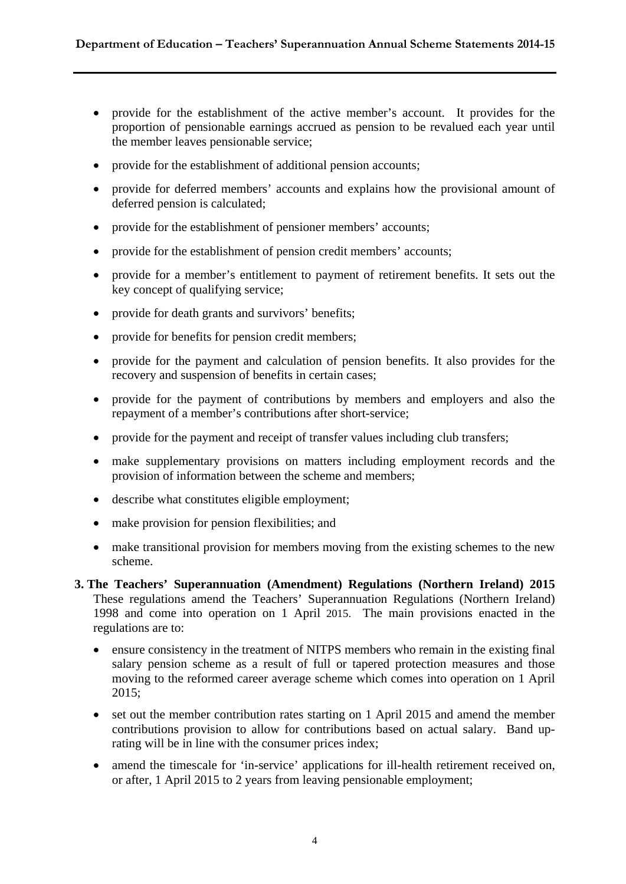- provide for the establishment of the active member's account. It provides for the proportion of pensionable earnings accrued as pension to be revalued each year until the member leaves pensionable service;
- provide for the establishment of additional pension accounts;
- provide for deferred members' accounts and explains how the provisional amount of deferred pension is calculated;
- provide for the establishment of pensioner members' accounts;
- provide for the establishment of pension credit members' accounts;
- provide for a member's entitlement to payment of retirement benefits. It sets out the key concept of qualifying service;
- provide for death grants and survivors' benefits;
- provide for benefits for pension credit members;
- provide for the payment and calculation of pension benefits. It also provides for the recovery and suspension of benefits in certain cases;
- provide for the payment of contributions by members and employers and also the repayment of a member's contributions after short-service;
- provide for the payment and receipt of transfer values including club transfers;
- make supplementary provisions on matters including employment records and the provision of information between the scheme and members;
- describe what constitutes eligible employment;
- make provision for pension flexibilities; and
- make transitional provision for members moving from the existing schemes to the new scheme.
- **3. The Teachers' Superannuation (Amendment) Regulations (Northern Ireland) 2015** These regulations amend the Teachers' Superannuation Regulations (Northern Ireland) 1998 and come into operation on 1 April 2015. The main provisions enacted in the regulations are to:
	- ensure consistency in the treatment of NITPS members who remain in the existing final salary pension scheme as a result of full or tapered protection measures and those moving to the reformed career average scheme which comes into operation on 1 April 2015;
	- set out the member contribution rates starting on 1 April 2015 and amend the member contributions provision to allow for contributions based on actual salary. Band uprating will be in line with the consumer prices index;
	- amend the timescale for 'in-service' applications for ill-health retirement received on, or after, 1 April 2015 to 2 years from leaving pensionable employment;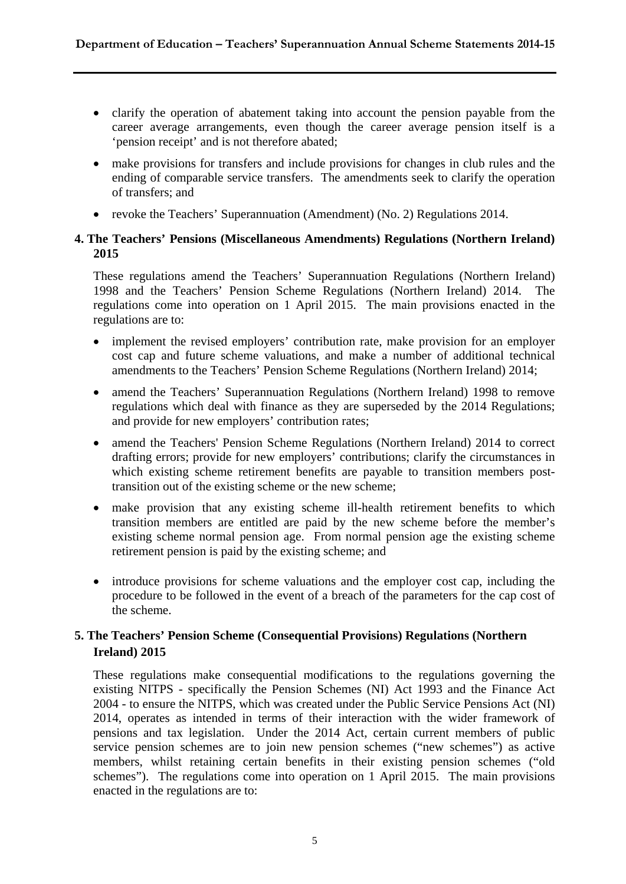- clarify the operation of abatement taking into account the pension payable from the career average arrangements, even though the career average pension itself is a 'pension receipt' and is not therefore abated;
- make provisions for transfers and include provisions for changes in club rules and the ending of comparable service transfers. The amendments seek to clarify the operation of transfers; and
- revoke the Teachers' Superannuation (Amendment) (No. 2) Regulations 2014.

#### **4. The Teachers' Pensions (Miscellaneous Amendments) Regulations (Northern Ireland) 2015**

These regulations amend the Teachers' Superannuation Regulations (Northern Ireland) 1998 and the Teachers' Pension Scheme Regulations (Northern Ireland) 2014. The regulations come into operation on 1 April 2015. The main provisions enacted in the regulations are to:

- implement the revised employers' contribution rate, make provision for an employer cost cap and future scheme valuations, and make a number of additional technical amendments to the Teachers' Pension Scheme Regulations (Northern Ireland) 2014;
- amend the Teachers' Superannuation Regulations (Northern Ireland) 1998 to remove regulations which deal with finance as they are superseded by the 2014 Regulations; and provide for new employers' contribution rates;
- amend the Teachers' Pension Scheme Regulations (Northern Ireland) 2014 to correct drafting errors; provide for new employers' contributions; clarify the circumstances in which existing scheme retirement benefits are payable to transition members posttransition out of the existing scheme or the new scheme;
- make provision that any existing scheme ill-health retirement benefits to which transition members are entitled are paid by the new scheme before the member's existing scheme normal pension age. From normal pension age the existing scheme retirement pension is paid by the existing scheme; and
- introduce provisions for scheme valuations and the employer cost cap, including the procedure to be followed in the event of a breach of the parameters for the cap cost of the scheme.

### **5. The Teachers' Pension Scheme (Consequential Provisions) Regulations (Northern Ireland) 2015**

These regulations make consequential modifications to the regulations governing the existing NITPS - specifically the Pension Schemes (NI) Act 1993 and the Finance Act 2004 - to ensure the NITPS, which was created under the Public Service Pensions Act (NI) 2014, operates as intended in terms of their interaction with the wider framework of pensions and tax legislation. Under the 2014 Act, certain current members of public service pension schemes are to join new pension schemes ("new schemes") as active members, whilst retaining certain benefits in their existing pension schemes ("old schemes"). The regulations come into operation on 1 April 2015. The main provisions enacted in the regulations are to: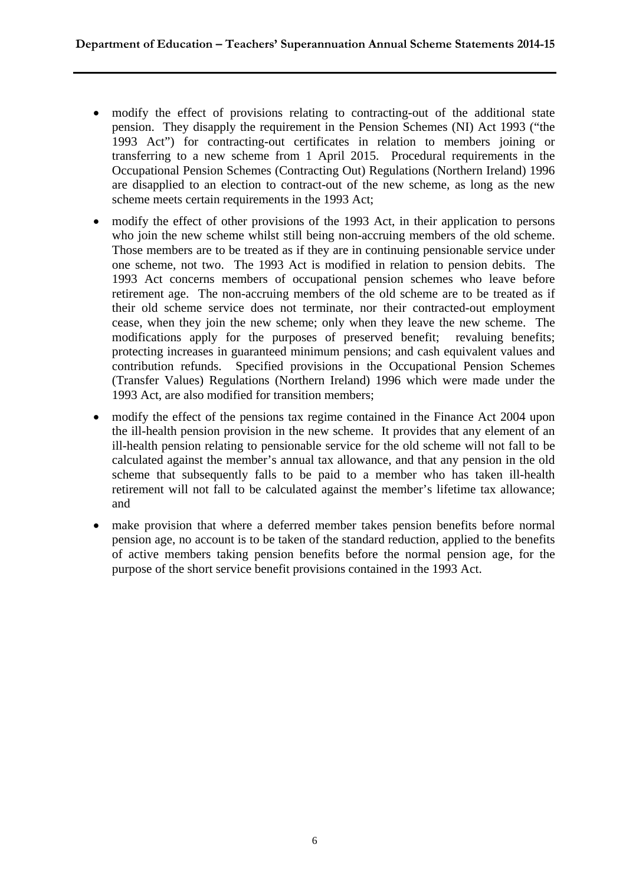- modify the effect of provisions relating to contracting-out of the additional state pension. They disapply the requirement in the Pension Schemes (NI) Act 1993 ("the 1993 Act") for contracting-out certificates in relation to members joining or transferring to a new scheme from 1 April 2015. Procedural requirements in the Occupational Pension Schemes (Contracting Out) Regulations (Northern Ireland) 1996 are disapplied to an election to contract-out of the new scheme, as long as the new scheme meets certain requirements in the 1993 Act;
- modify the effect of other provisions of the 1993 Act, in their application to persons who join the new scheme whilst still being non-accruing members of the old scheme. Those members are to be treated as if they are in continuing pensionable service under one scheme, not two. The 1993 Act is modified in relation to pension debits. The 1993 Act concerns members of occupational pension schemes who leave before retirement age. The non-accruing members of the old scheme are to be treated as if their old scheme service does not terminate, nor their contracted-out employment cease, when they join the new scheme; only when they leave the new scheme. The modifications apply for the purposes of preserved benefit; revaluing benefits; protecting increases in guaranteed minimum pensions; and cash equivalent values and contribution refunds. Specified provisions in the Occupational Pension Schemes (Transfer Values) Regulations (Northern Ireland) 1996 which were made under the 1993 Act, are also modified for transition members;
- modify the effect of the pensions tax regime contained in the Finance Act 2004 upon the ill-health pension provision in the new scheme. It provides that any element of an ill-health pension relating to pensionable service for the old scheme will not fall to be calculated against the member's annual tax allowance, and that any pension in the old scheme that subsequently falls to be paid to a member who has taken ill-health retirement will not fall to be calculated against the member's lifetime tax allowance; and
- make provision that where a deferred member takes pension benefits before normal pension age, no account is to be taken of the standard reduction, applied to the benefits of active members taking pension benefits before the normal pension age, for the purpose of the short service benefit provisions contained in the 1993 Act.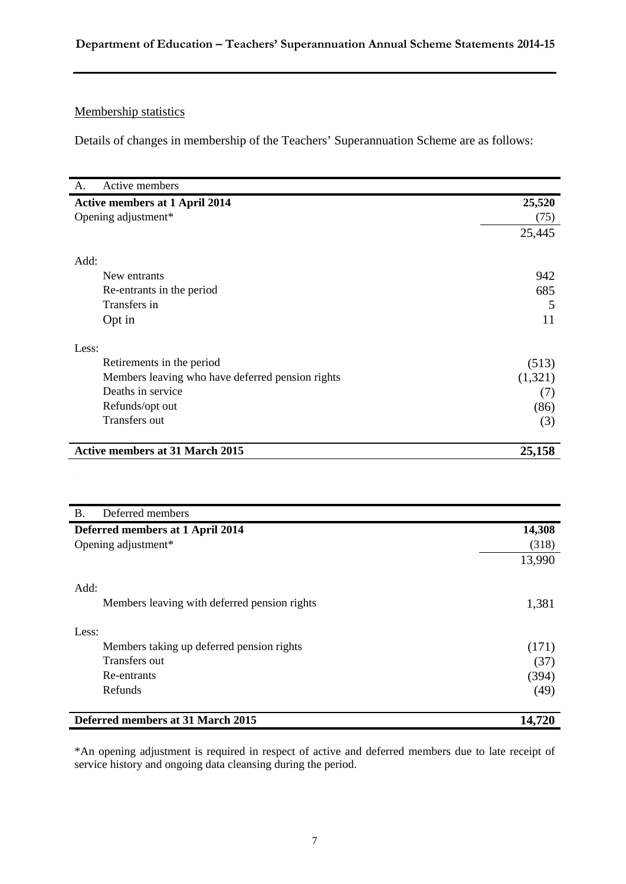### **Department of Education – Teachers' Superannuation Annual Scheme Statements 2014-15**

### Membership statistics

Details of changes in membership of the Teachers' Superannuation Scheme are as follows:

| Active members                                   |         |
|--------------------------------------------------|---------|
| <b>Active members at 1 April 2014</b>            | 25,520  |
| Opening adjustment*                              | (75)    |
|                                                  | 25,445  |
| Add:                                             |         |
| New entrants                                     | 942     |
| Re-entrants in the period                        | 685     |
| Transfers in                                     | 5       |
| Opt in                                           | 11      |
| Less:                                            |         |
| Retirements in the period                        | (513)   |
| Members leaving who have deferred pension rights | (1,321) |
| Deaths in service                                | (7)     |
| Refunds/opt out                                  | (86)    |
| Transfers out                                    | (3)     |
| <b>Active members at 31 March 2015</b>           | 25,158  |
|                                                  |         |

| <b>B.</b><br>Deferred members                |        |
|----------------------------------------------|--------|
| Deferred members at 1 April 2014             | 14,308 |
| Opening adjustment*                          | (318)  |
|                                              | 13,990 |
| Add:                                         |        |
| Members leaving with deferred pension rights | 1,381  |
| Less:                                        |        |
| Members taking up deferred pension rights    | (171)  |
| Transfers out                                | (37)   |
| Re-entrants                                  | (394)  |
| Refunds                                      | (49)   |
| Deferred members at 31 March 2015            | 14,720 |

\*An opening adjustment is required in respect of active and deferred members due to late receipt of service history and ongoing data cleansing during the period.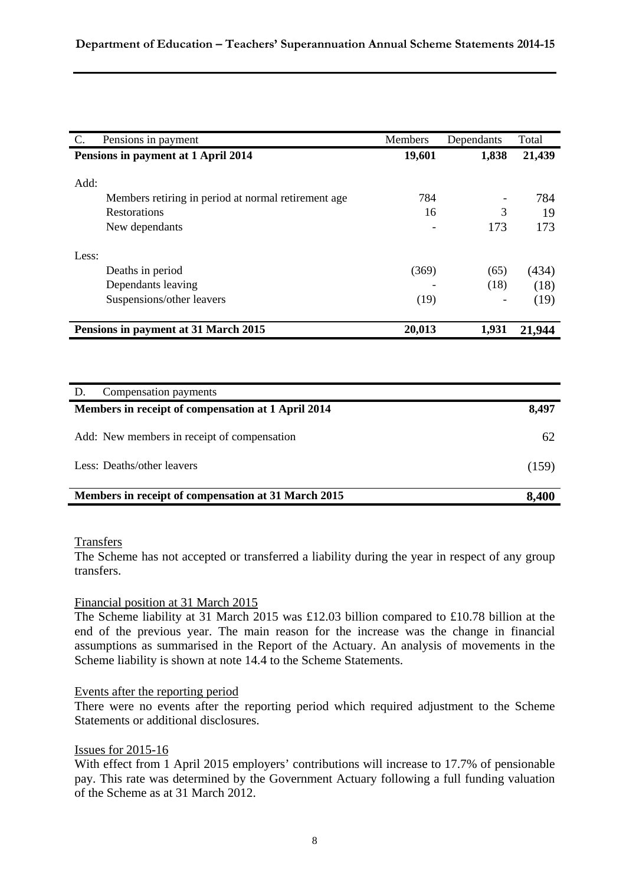| C.    | Pensions in payment                                  | Members | Dependants | Total  |
|-------|------------------------------------------------------|---------|------------|--------|
|       | Pensions in payment at 1 April 2014                  | 19,601  | 1,838      | 21,439 |
|       |                                                      |         |            |        |
| Add:  |                                                      |         |            |        |
|       | Members retiring in period at normal retirement age. | 784     |            | 784    |
|       | Restorations                                         | 16      | 3          | 19     |
|       | New dependants                                       |         | 173        | 173    |
| Less: |                                                      |         |            |        |
|       | Deaths in period                                     | (369)   | (65)       | (434)  |
|       | Dependants leaving                                   |         | (18)       | (18)   |
|       | Suspensions/other leavers                            | (19)    |            | (19)   |
|       | Pensions in payment at 31 March 2015                 | 20,013  | 1,931      | 21,944 |
|       |                                                      |         |            |        |
|       |                                                      |         |            |        |
| D.    | Compensation payments                                |         |            |        |
|       | Members in receipt of compensation at 1 April 2014   |         |            | 8,497  |
|       | Add: New members in receipt of compensation          |         |            | 62     |

Less: Deaths/other leavers (159)

| Members in receipt of compensation at 31 March 2015 | 8,400 |
|-----------------------------------------------------|-------|

#### **Transfers**

The Scheme has not accepted or transferred a liability during the year in respect of any group transfers.

#### Financial position at 31 March 2015

The Scheme liability at 31 March 2015 was £12.03 billion compared to £10.78 billion at the end of the previous year. The main reason for the increase was the change in financial assumptions as summarised in the Report of the Actuary. An analysis of movements in the Scheme liability is shown at note 14.4 to the Scheme Statements.

#### Events after the reporting period

There were no events after the reporting period which required adjustment to the Scheme Statements or additional disclosures.

#### Issues for 2015-16

With effect from 1 April 2015 employers' contributions will increase to 17.7% of pensionable pay. This rate was determined by the Government Actuary following a full funding valuation of the Scheme as at 31 March 2012.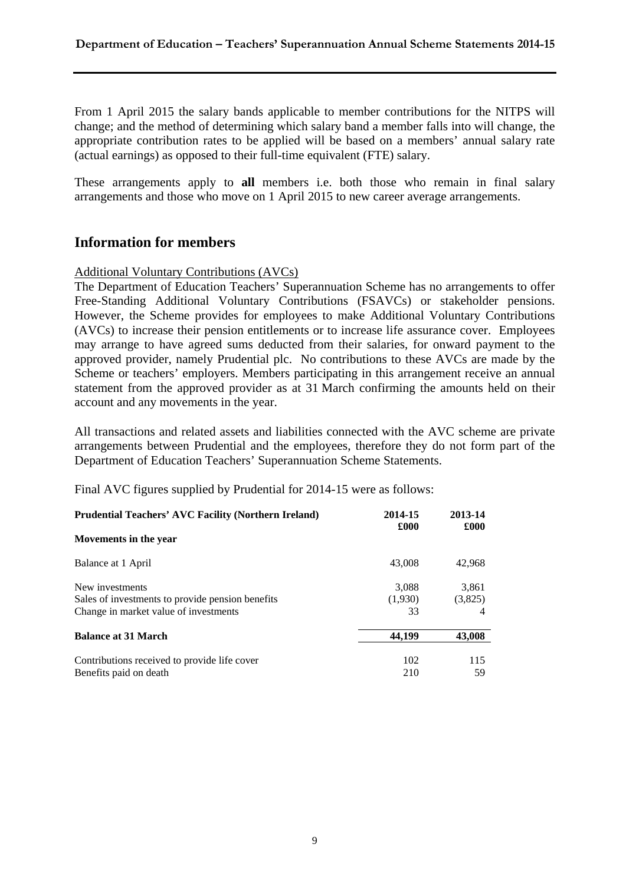From 1 April 2015 the salary bands applicable to member contributions for the NITPS will change; and the method of determining which salary band a member falls into will change, the appropriate contribution rates to be applied will be based on a members' annual salary rate (actual earnings) as opposed to their full-time equivalent (FTE) salary.

These arrangements apply to **all** members i.e. both those who remain in final salary arrangements and those who move on 1 April 2015 to new career average arrangements.

### **Information for members**

#### Additional Voluntary Contributions (AVCs)

The Department of Education Teachers' Superannuation Scheme has no arrangements to offer Free-Standing Additional Voluntary Contributions (FSAVCs) or stakeholder pensions. However, the Scheme provides for employees to make Additional Voluntary Contributions (AVCs) to increase their pension entitlements or to increase life assurance cover. Employees may arrange to have agreed sums deducted from their salaries, for onward payment to the approved provider, namely Prudential plc. No contributions to these AVCs are made by the Scheme or teachers' employers. Members participating in this arrangement receive an annual statement from the approved provider as at 31 March confirming the amounts held on their account and any movements in the year.

All transactions and related assets and liabilities connected with the AVC scheme are private arrangements between Prudential and the employees, therefore they do not form part of the Department of Education Teachers' Superannuation Scheme Statements.

Final AVC figures supplied by Prudential for 2014-15 were as follows:

| <b>Prudential Teachers' AVC Facility (Northern Ireland)</b> | 2014-15<br>£000 | 2013-14<br>£000 |
|-------------------------------------------------------------|-----------------|-----------------|
| Movements in the year                                       |                 |                 |
| Balance at 1 April                                          | 43,008          | 42,968          |
| New investments                                             | 3,088           | 3,861           |
| Sales of investments to provide pension benefits            | (1,930)         | (3,825)         |
| Change in market value of investments                       | 33              |                 |
| <b>Balance at 31 March</b>                                  | 44.199          | 43,008          |
| Contributions received to provide life cover                | 102             | 115             |
| Benefits paid on death                                      | 210             | 59              |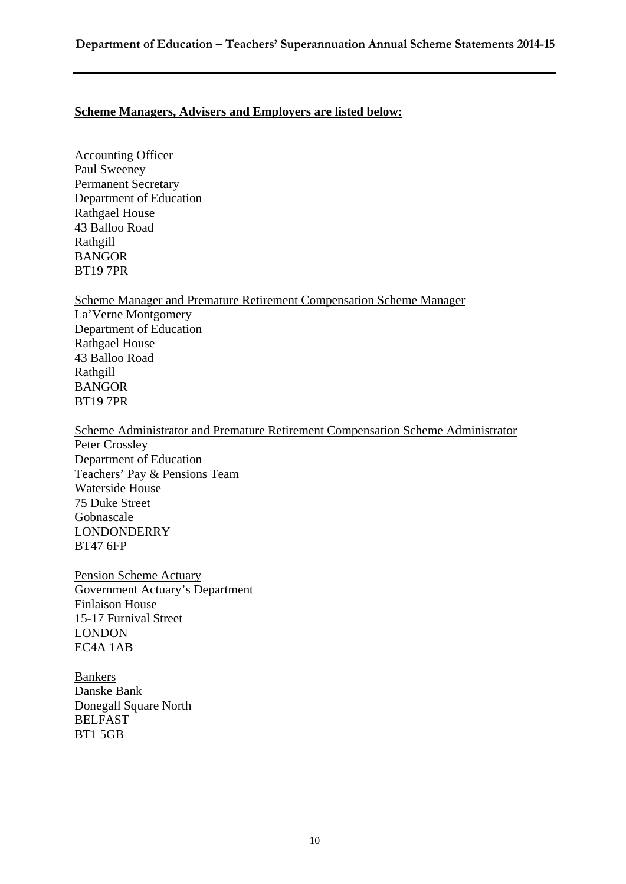#### **Scheme Managers, Advisers and Employers are listed below:**

Accounting Officer Paul Sweeney Permanent Secretary Department of Education Rathgael House 43 Balloo Road Rathgill BANGOR BT19 7PR

Scheme Manager and Premature Retirement Compensation Scheme Manager La'Verne Montgomery Department of Education Rathgael House 43 Balloo Road Rathgill BANGOR BT19 7PR

Scheme Administrator and Premature Retirement Compensation Scheme Administrator Peter Crossley Department of Education Teachers' Pay & Pensions Team Waterside House 75 Duke Street Gobnascale LONDONDERRY BT47 6FP

Pension Scheme Actuary Government Actuary's Department Finlaison House 15-17 Furnival Street LONDON EC4A 1AB

Bankers Danske Bank Donegall Square North BELFAST BT1 5GB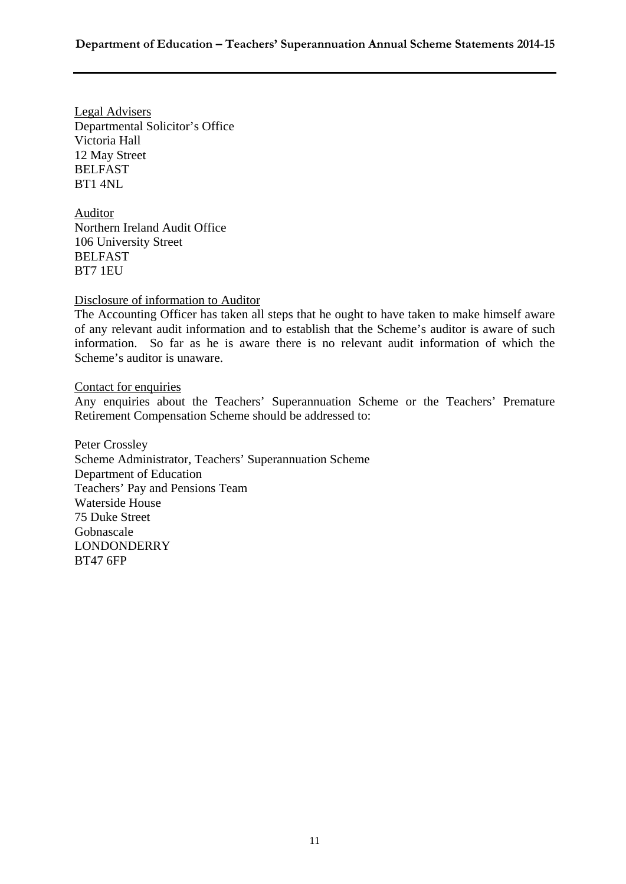Legal Advisers Departmental Solicitor's Office Victoria Hall 12 May Street BELFAST BT1 4NL

Auditor Northern Ireland Audit Office 106 University Street BELFAST BT7 1EU

Disclosure of information to Auditor

The Accounting Officer has taken all steps that he ought to have taken to make himself aware of any relevant audit information and to establish that the Scheme's auditor is aware of such information. So far as he is aware there is no relevant audit information of which the Scheme's auditor is unaware.

Contact for enquiries

Any enquiries about the Teachers' Superannuation Scheme or the Teachers' Premature Retirement Compensation Scheme should be addressed to:

Peter Crossley Scheme Administrator, Teachers' Superannuation Scheme Department of Education Teachers' Pay and Pensions Team Waterside House 75 Duke Street Gobnascale LONDONDERRY BT47 6FP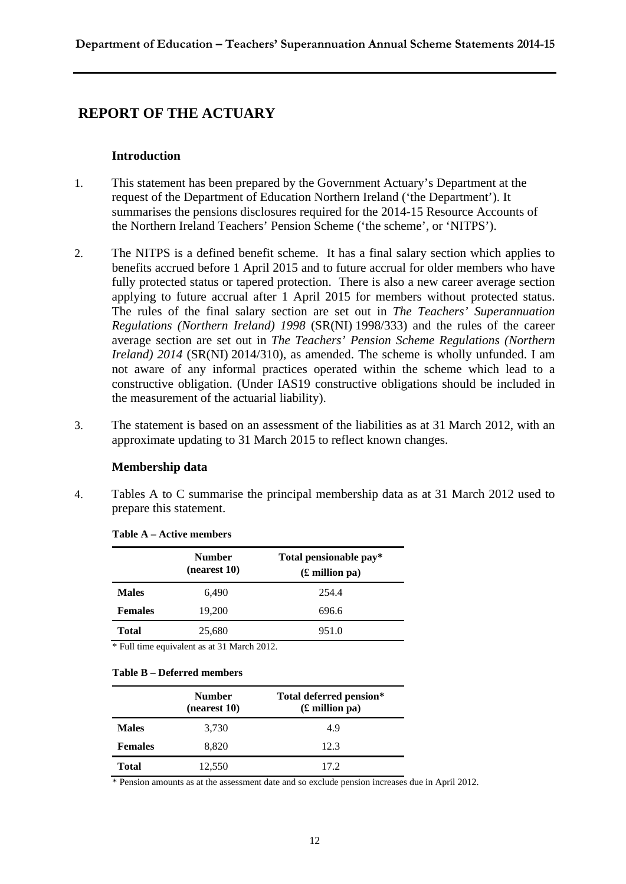### **REPORT OF THE ACTUARY**

#### **Introduction**

- 1. This statement has been prepared by the Government Actuary's Department at the request of the Department of Education Northern Ireland ('the Department'). It summarises the pensions disclosures required for the 2014-15 Resource Accounts of the Northern Ireland Teachers' Pension Scheme ('the scheme', or 'NITPS').
- 2. The NITPS is a defined benefit scheme. It has a final salary section which applies to benefits accrued before 1 April 2015 and to future accrual for older members who have fully protected status or tapered protection. There is also a new career average section applying to future accrual after 1 April 2015 for members without protected status. The rules of the final salary section are set out in *The Teachers' Superannuation Regulations (Northern Ireland) 1998* (SR(NI) 1998/333) and the rules of the career average section are set out in *The Teachers' Pension Scheme Regulations (Northern Ireland) 2014* (SR(NI) 2014/310), as amended. The scheme is wholly unfunded. I am not aware of any informal practices operated within the scheme which lead to a constructive obligation. (Under IAS19 constructive obligations should be included in the measurement of the actuarial liability).
- 3. The statement is based on an assessment of the liabilities as at 31 March 2012, with an approximate updating to 31 March 2015 to reflect known changes.

#### **Membership data**

4. Tables A to C summarise the principal membership data as at 31 March 2012 used to prepare this statement.

|                | <b>Number</b><br>(nearest 10) | Total pensionable pay*<br>$(E$ million pa) |
|----------------|-------------------------------|--------------------------------------------|
| <b>Males</b>   | 6,490                         | 254.4                                      |
| <b>Females</b> | 19,200                        | 696.6                                      |
| <b>Total</b>   | 25,680                        | 951.0                                      |

#### **Table A – Active members**

\* Full time equivalent as at 31 March 2012.

#### **Table B – Deferred members**

|                | <b>Number</b><br>(nearest 10) | Total deferred pension*<br>$(E$ million pa) |
|----------------|-------------------------------|---------------------------------------------|
| <b>Males</b>   | 3,730                         | 4.9                                         |
| <b>Females</b> | 8,820                         | 12.3                                        |
| Total          | 12,550                        | 17.2                                        |

\* Pension amounts as at the assessment date and so exclude pension increases due in April 2012.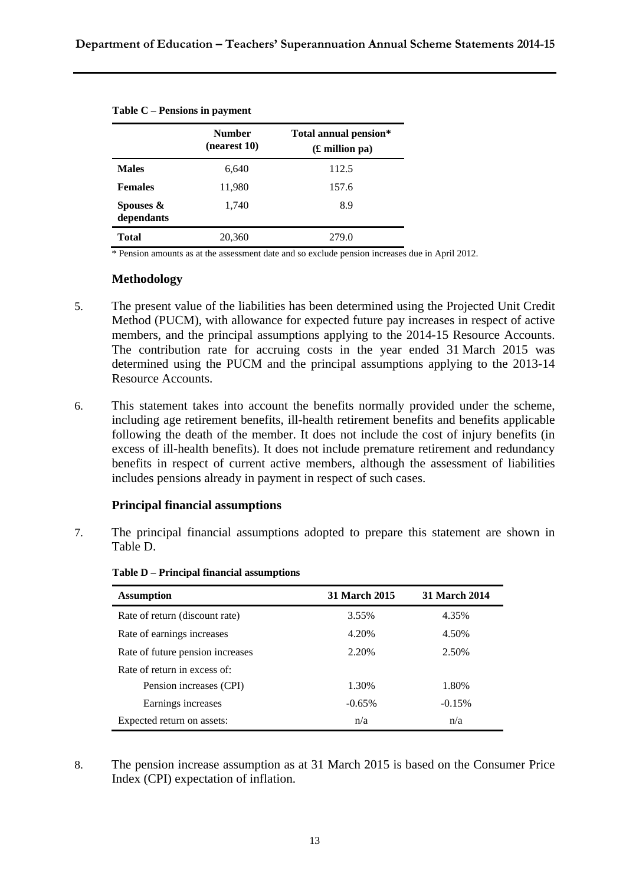| Number<br>(nearest 10)  |        | Total annual pension*<br>$(\pounds$ million pa) |
|-------------------------|--------|-------------------------------------------------|
| <b>Males</b>            | 6,640  | 112.5                                           |
| <b>Females</b>          | 11,980 | 157.6                                           |
| Spouses &<br>dependants | 1,740  | 8.9                                             |
| Total                   | 20,360 | 279.0                                           |

**Table C – Pensions in payment** 

\* Pension amounts as at the assessment date and so exclude pension increases due in April 2012.

#### **Methodology**

- 5. The present value of the liabilities has been determined using the Projected Unit Credit Method (PUCM), with allowance for expected future pay increases in respect of active members, and the principal assumptions applying to the 2014-15 Resource Accounts. The contribution rate for accruing costs in the year ended 31 March 2015 was determined using the PUCM and the principal assumptions applying to the 2013-14 Resource Accounts.
- 6. This statement takes into account the benefits normally provided under the scheme, including age retirement benefits, ill-health retirement benefits and benefits applicable following the death of the member. It does not include the cost of injury benefits (in excess of ill-health benefits). It does not include premature retirement and redundancy benefits in respect of current active members, although the assessment of liabilities includes pensions already in payment in respect of such cases.

#### **Principal financial assumptions**

7. The principal financial assumptions adopted to prepare this statement are shown in Table D.

| <b>Assumption</b>                | 31 March 2015 | 31 March 2014 |
|----------------------------------|---------------|---------------|
| Rate of return (discount rate)   | 3.55%         | 4.35%         |
| Rate of earnings increases       | 4.20%         | 4.50%         |
| Rate of future pension increases | 2.20%         | 2.50%         |
| Rate of return in excess of:     |               |               |
| Pension increases (CPI)          | 1.30%         | 1.80%         |
| Earnings increases               | $-0.65%$      | $-0.15%$      |
| Expected return on assets:       | n/a           | n/a           |

**Table D – Principal financial assumptions**

8. The pension increase assumption as at 31 March 2015 is based on the Consumer Price Index (CPI) expectation of inflation.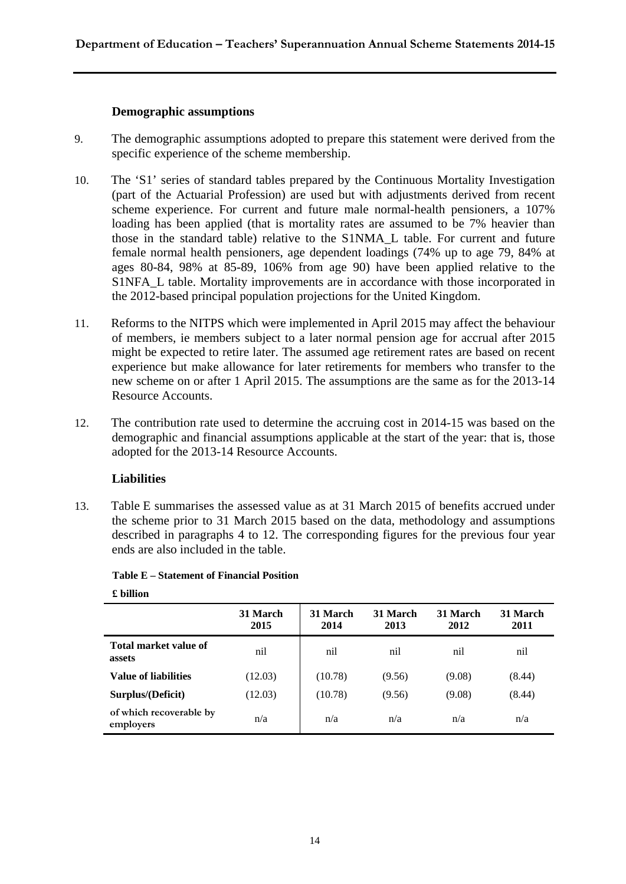#### **Demographic assumptions**

- 9. The demographic assumptions adopted to prepare this statement were derived from the specific experience of the scheme membership.
- 10. The 'S1' series of standard tables prepared by the Continuous Mortality Investigation (part of the Actuarial Profession) are used but with adjustments derived from recent scheme experience. For current and future male normal-health pensioners, a 107% loading has been applied (that is mortality rates are assumed to be 7% heavier than those in the standard table) relative to the S1NMA\_L table. For current and future female normal health pensioners, age dependent loadings (74% up to age 79, 84% at ages 80-84, 98% at 85-89, 106% from age 90) have been applied relative to the S1NFA L table. Mortality improvements are in accordance with those incorporated in the 2012-based principal population projections for the United Kingdom.
- 11. Reforms to the NITPS which were implemented in April 2015 may affect the behaviour of members, ie members subject to a later normal pension age for accrual after 2015 might be expected to retire later. The assumed age retirement rates are based on recent experience but make allowance for later retirements for members who transfer to the new scheme on or after 1 April 2015. The assumptions are the same as for the 2013-14 Resource Accounts.
- 12. The contribution rate used to determine the accruing cost in 2014-15 was based on the demographic and financial assumptions applicable at the start of the year: that is, those adopted for the 2013-14 Resource Accounts.

#### **Liabilities**

13. Table E summarises the assessed value as at 31 March 2015 of benefits accrued under the scheme prior to 31 March 2015 based on the data, methodology and assumptions described in paragraphs 4 to 12. The corresponding figures for the previous four year ends are also included in the table.

|                                      | 31 March<br>2015 | 31 March<br>2014 | 31 March<br>2013 | 31 March<br>2012 | 31 March<br>2011 |
|--------------------------------------|------------------|------------------|------------------|------------------|------------------|
| Total market value of<br>assets      | nil              | nil              | nil              | nil              | nil              |
| <b>Value of liabilities</b>          | (12.03)          | (10.78)          | (9.56)           | (9.08)           | (8.44)           |
| Surplus/(Deficit)                    | (12.03)          | (10.78)          | (9.56)           | (9.08)           | (8.44)           |
| of which recoverable by<br>employers | n/a              | n/a              | n/a              | n/a              | n/a              |

**Table E – Statement of Financial Position** 

#### **£ billion**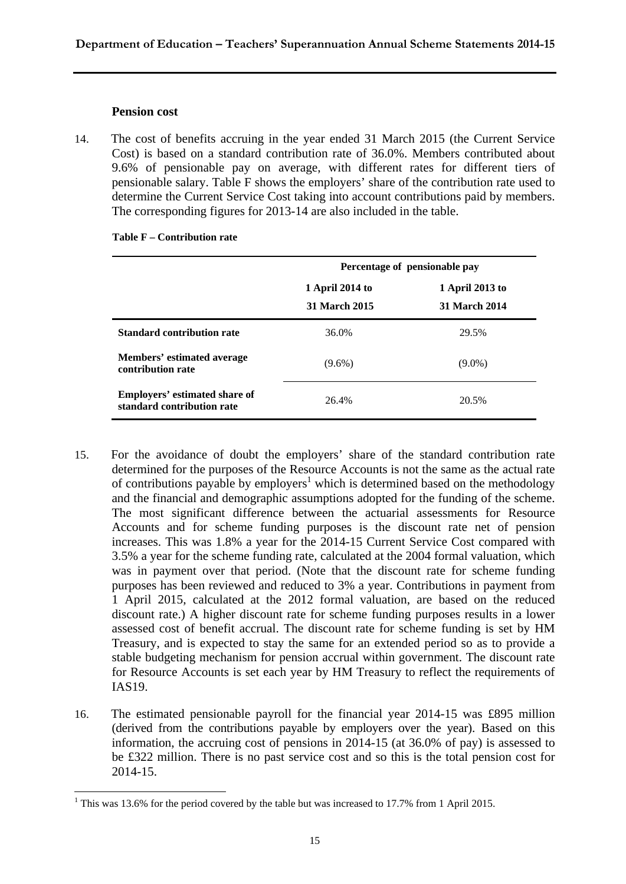#### **Pension cost**

1

14. The cost of benefits accruing in the year ended 31 March 2015 (the Current Service Cost) is based on a standard contribution rate of 36.0%. Members contributed about 9.6% of pensionable pay on average, with different rates for different tiers of pensionable salary. Table F shows the employers' share of the contribution rate used to determine the Current Service Cost taking into account contributions paid by members. The corresponding figures for 2013-14 are also included in the table.

|                                                                    | Percentage of pensionable pay    |                                         |  |  |  |
|--------------------------------------------------------------------|----------------------------------|-----------------------------------------|--|--|--|
|                                                                    | 1 April 2014 to<br>31 March 2015 | 1 April 2013 to<br><b>31 March 2014</b> |  |  |  |
| <b>Standard contribution rate</b>                                  | 36.0%                            | 29.5%                                   |  |  |  |
| Members' estimated average<br>contribution rate                    | $(9.6\%)$                        | $(9.0\%)$                               |  |  |  |
| <b>Employers' estimated share of</b><br>standard contribution rate | 26.4%                            | 20.5%                                   |  |  |  |

#### **Table F – Contribution rate**

- 15. For the avoidance of doubt the employers' share of the standard contribution rate determined for the purposes of the Resource Accounts is not the same as the actual rate of contributions payable by employers<sup>1</sup> which is determined based on the methodology and the financial and demographic assumptions adopted for the funding of the scheme. The most significant difference between the actuarial assessments for Resource Accounts and for scheme funding purposes is the discount rate net of pension increases. This was 1.8% a year for the 2014-15 Current Service Cost compared with 3.5% a year for the scheme funding rate, calculated at the 2004 formal valuation, which was in payment over that period. (Note that the discount rate for scheme funding purposes has been reviewed and reduced to 3% a year. Contributions in payment from 1 April 2015, calculated at the 2012 formal valuation, are based on the reduced discount rate.) A higher discount rate for scheme funding purposes results in a lower assessed cost of benefit accrual. The discount rate for scheme funding is set by HM Treasury, and is expected to stay the same for an extended period so as to provide a stable budgeting mechanism for pension accrual within government. The discount rate for Resource Accounts is set each year by HM Treasury to reflect the requirements of IAS19.
- 16. The estimated pensionable payroll for the financial year 2014-15 was £895 million (derived from the contributions payable by employers over the year). Based on this information, the accruing cost of pensions in 2014-15 (at 36.0% of pay) is assessed to be £322 million. There is no past service cost and so this is the total pension cost for 2014-15.

<sup>&</sup>lt;sup>1</sup> This was 13.6% for the period covered by the table but was increased to 17.7% from 1 April 2015.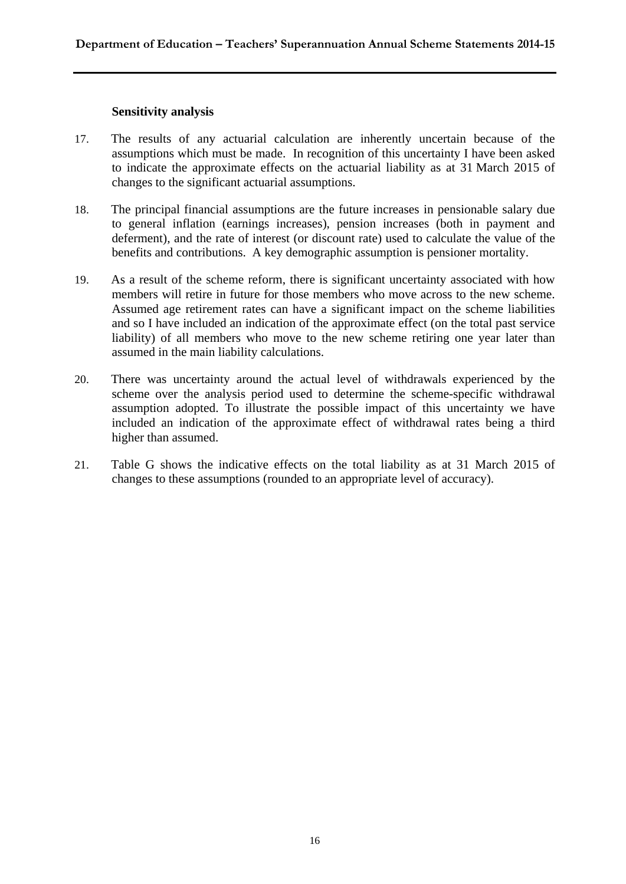#### **Sensitivity analysis**

- 17. The results of any actuarial calculation are inherently uncertain because of the assumptions which must be made. In recognition of this uncertainty I have been asked to indicate the approximate effects on the actuarial liability as at 31 March 2015 of changes to the significant actuarial assumptions.
- 18. The principal financial assumptions are the future increases in pensionable salary due to general inflation (earnings increases), pension increases (both in payment and deferment), and the rate of interest (or discount rate) used to calculate the value of the benefits and contributions. A key demographic assumption is pensioner mortality.
- 19. As a result of the scheme reform, there is significant uncertainty associated with how members will retire in future for those members who move across to the new scheme. Assumed age retirement rates can have a significant impact on the scheme liabilities and so I have included an indication of the approximate effect (on the total past service liability) of all members who move to the new scheme retiring one year later than assumed in the main liability calculations.
- 20. There was uncertainty around the actual level of withdrawals experienced by the scheme over the analysis period used to determine the scheme-specific withdrawal assumption adopted. To illustrate the possible impact of this uncertainty we have included an indication of the approximate effect of withdrawal rates being a third higher than assumed.
- 21. Table G shows the indicative effects on the total liability as at 31 March 2015 of changes to these assumptions (rounded to an appropriate level of accuracy).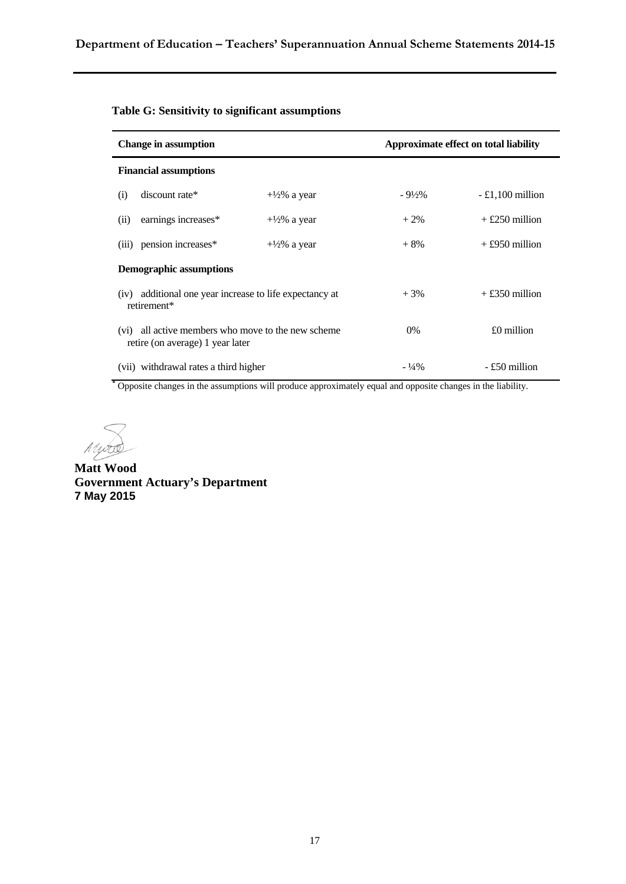| <b>Change in assumption</b>                                                               |                         |                   | Approximate effect on total liability |
|-------------------------------------------------------------------------------------------|-------------------------|-------------------|---------------------------------------|
| <b>Financial assumptions</b>                                                              |                         |                   |                                       |
| discount rate*<br>(i)                                                                     | $+\frac{1}{2}\%$ a year | $-9\frac{1}{2}\%$ | $-£1,100$ million                     |
| earnings increases*<br>(ii)                                                               | $+\frac{1}{2}\%$ a year | $+2\%$            | $+$ £250 million                      |
| (iii) pension increases*                                                                  | $+\frac{1}{2}\%$ a year | $+8%$             | $+£950$ million                       |
| <b>Demographic assumptions</b>                                                            |                         |                   |                                       |
| (iv) additional one year increase to life expectancy at<br>retirement*                    |                         | $+3%$             | $+£350$ million                       |
| all active members who move to the new scheme<br>(vi)<br>retire (on average) 1 year later |                         | $0\%$             | $£0$ million                          |
| (vii) withdrawal rates a third higher                                                     |                         | $-1/4\%$          | - £50 million                         |

**\*** Opposite changes in the assumptions will produce approximately equal and opposite changes in the liability.

Mydde

**Matt Wood Government Actuary's Department 7 May 2015**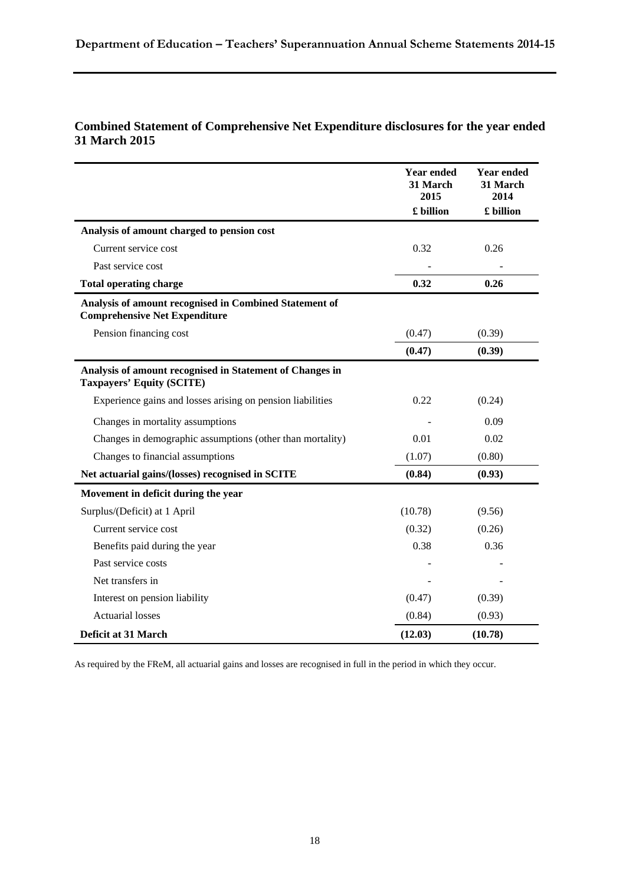#### **Combined Statement of Comprehensive Net Expenditure disclosures for the year ended 31 March 2015**

|                                                                                                | <b>Year ended</b><br>31 March<br>2015 | <b>Year ended</b><br>31 March<br>2014 |
|------------------------------------------------------------------------------------------------|---------------------------------------|---------------------------------------|
|                                                                                                | £ billion                             | £ billion                             |
| Analysis of amount charged to pension cost                                                     |                                       |                                       |
| Current service cost                                                                           | 0.32                                  | 0.26                                  |
| Past service cost                                                                              |                                       |                                       |
| <b>Total operating charge</b>                                                                  | 0.32                                  | 0.26                                  |
| Analysis of amount recognised in Combined Statement of<br><b>Comprehensive Net Expenditure</b> |                                       |                                       |
| Pension financing cost                                                                         | (0.47)                                | (0.39)                                |
|                                                                                                | (0.47)                                | (0.39)                                |
| Analysis of amount recognised in Statement of Changes in<br><b>Taxpayers' Equity (SCITE)</b>   |                                       |                                       |
| Experience gains and losses arising on pension liabilities                                     | 0.22                                  | (0.24)                                |
| Changes in mortality assumptions                                                               |                                       | 0.09                                  |
| Changes in demographic assumptions (other than mortality)                                      | 0.01                                  | 0.02                                  |
| Changes to financial assumptions                                                               | (1.07)                                | (0.80)                                |
| Net actuarial gains/(losses) recognised in SCITE                                               | (0.84)                                | (0.93)                                |
| Movement in deficit during the year                                                            |                                       |                                       |
| Surplus/(Deficit) at 1 April                                                                   | (10.78)                               | (9.56)                                |
| Current service cost                                                                           | (0.32)                                | (0.26)                                |
| Benefits paid during the year                                                                  | 0.38                                  | 0.36                                  |
| Past service costs                                                                             |                                       |                                       |
| Net transfers in                                                                               |                                       |                                       |
| Interest on pension liability                                                                  | (0.47)                                | (0.39)                                |
| <b>Actuarial losses</b>                                                                        | (0.84)                                | (0.93)                                |
| Deficit at 31 March                                                                            | (12.03)                               | (10.78)                               |

As required by the FReM, all actuarial gains and losses are recognised in full in the period in which they occur.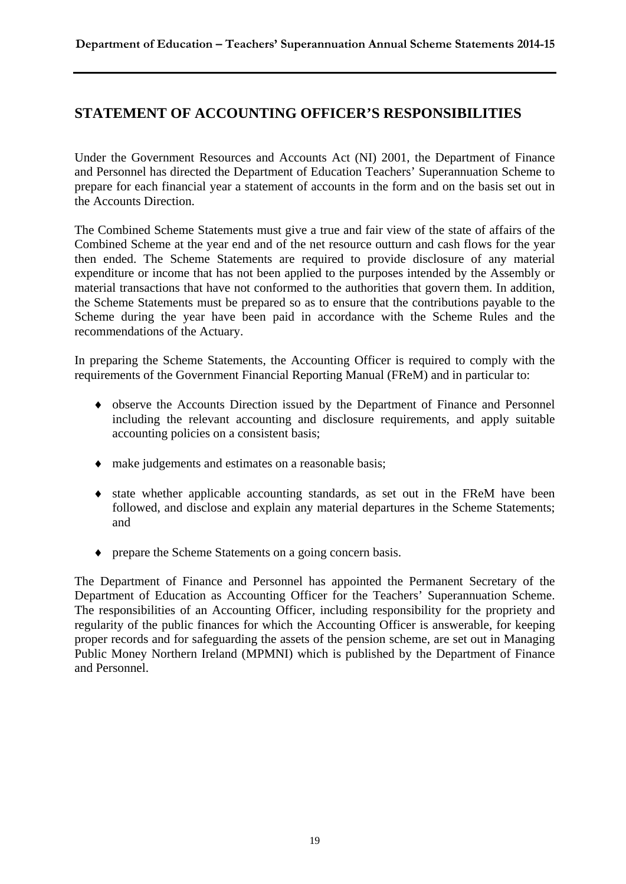### **STATEMENT OF ACCOUNTING OFFICER'S RESPONSIBILITIES**

Under the Government Resources and Accounts Act (NI) 2001, the Department of Finance and Personnel has directed the Department of Education Teachers' Superannuation Scheme to prepare for each financial year a statement of accounts in the form and on the basis set out in the Accounts Direction.

The Combined Scheme Statements must give a true and fair view of the state of affairs of the Combined Scheme at the year end and of the net resource outturn and cash flows for the year then ended. The Scheme Statements are required to provide disclosure of any material expenditure or income that has not been applied to the purposes intended by the Assembly or material transactions that have not conformed to the authorities that govern them. In addition, the Scheme Statements must be prepared so as to ensure that the contributions payable to the Scheme during the year have been paid in accordance with the Scheme Rules and the recommendations of the Actuary.

In preparing the Scheme Statements, the Accounting Officer is required to comply with the requirements of the Government Financial Reporting Manual (FReM) and in particular to:

- observe the Accounts Direction issued by the Department of Finance and Personnel including the relevant accounting and disclosure requirements, and apply suitable accounting policies on a consistent basis;
- $\bullet$  make judgements and estimates on a reasonable basis;
- state whether applicable accounting standards, as set out in the FReM have been followed, and disclose and explain any material departures in the Scheme Statements; and
- prepare the Scheme Statements on a going concern basis.

The Department of Finance and Personnel has appointed the Permanent Secretary of the Department of Education as Accounting Officer for the Teachers' Superannuation Scheme. The responsibilities of an Accounting Officer, including responsibility for the propriety and regularity of the public finances for which the Accounting Officer is answerable, for keeping proper records and for safeguarding the assets of the pension scheme, are set out in Managing Public Money Northern Ireland (MPMNI) which is published by the Department of Finance and Personnel.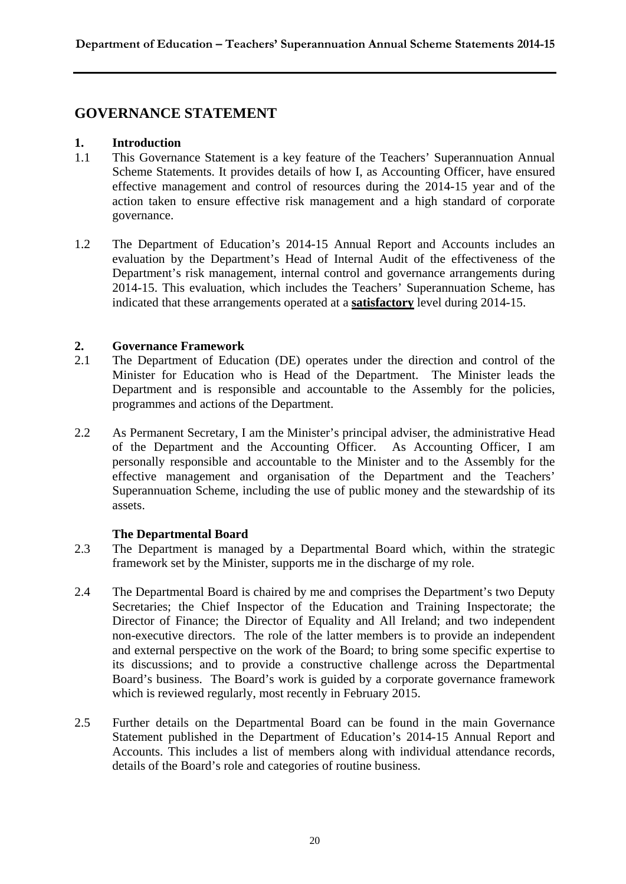### **GOVERNANCE STATEMENT**

#### **1. Introduction**

- 1.1 This Governance Statement is a key feature of the Teachers' Superannuation Annual Scheme Statements. It provides details of how I, as Accounting Officer, have ensured effective management and control of resources during the 2014-15 year and of the action taken to ensure effective risk management and a high standard of corporate governance.
- 1.2 The Department of Education's 2014-15 Annual Report and Accounts includes an evaluation by the Department's Head of Internal Audit of the effectiveness of the Department's risk management, internal control and governance arrangements during 2014-15. This evaluation, which includes the Teachers' Superannuation Scheme, has indicated that these arrangements operated at a **satisfactory** level during 2014-15.

#### **2. Governance Framework**

- 2.1 The Department of Education (DE) operates under the direction and control of the Minister for Education who is Head of the Department. The Minister leads the Department and is responsible and accountable to the Assembly for the policies, programmes and actions of the Department.
- 2.2 As Permanent Secretary, I am the Minister's principal adviser, the administrative Head of the Department and the Accounting Officer. As Accounting Officer, I am personally responsible and accountable to the Minister and to the Assembly for the effective management and organisation of the Department and the Teachers' Superannuation Scheme, including the use of public money and the stewardship of its assets.

#### **The Departmental Board**

- 2.3 The Department is managed by a Departmental Board which, within the strategic framework set by the Minister, supports me in the discharge of my role.
- 2.4 The Departmental Board is chaired by me and comprises the Department's two Deputy Secretaries; the Chief Inspector of the Education and Training Inspectorate; the Director of Finance; the Director of Equality and All Ireland; and two independent non-executive directors. The role of the latter members is to provide an independent and external perspective on the work of the Board; to bring some specific expertise to its discussions; and to provide a constructive challenge across the Departmental Board's business. The Board's work is guided by a corporate governance framework which is reviewed regularly, most recently in February 2015.
- 2.5 Further details on the Departmental Board can be found in the main Governance Statement published in the Department of Education's 2014-15 Annual Report and Accounts. This includes a list of members along with individual attendance records, details of the Board's role and categories of routine business.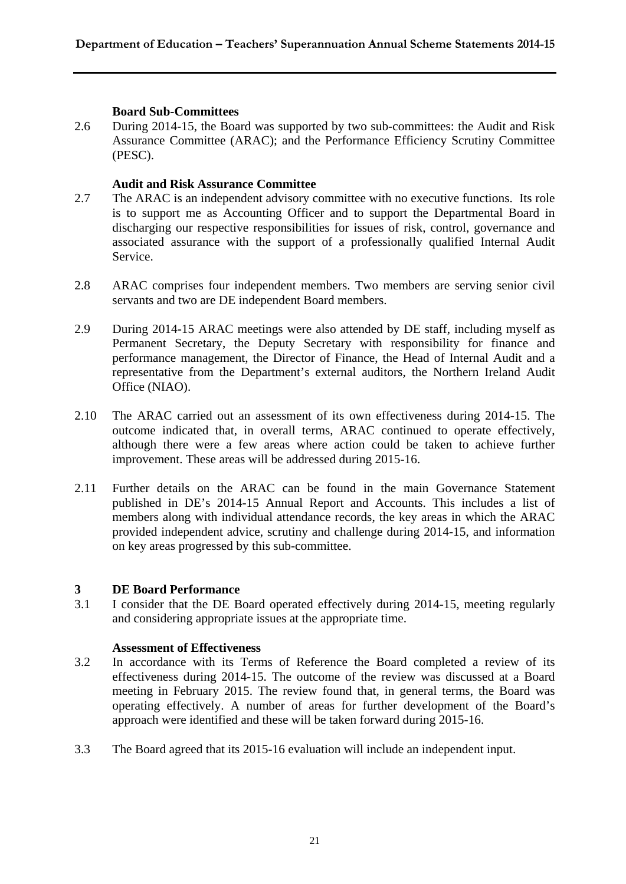#### **Board Sub-Committees**

2.6 During 2014-15, the Board was supported by two sub-committees: the Audit and Risk Assurance Committee (ARAC); and the Performance Efficiency Scrutiny Committee (PESC).

#### **Audit and Risk Assurance Committee**

- 2.7 The ARAC is an independent advisory committee with no executive functions. Its role is to support me as Accounting Officer and to support the Departmental Board in discharging our respective responsibilities for issues of risk, control, governance and associated assurance with the support of a professionally qualified Internal Audit Service.
- 2.8 ARAC comprises four independent members. Two members are serving senior civil servants and two are DE independent Board members.
- 2.9 During 2014-15 ARAC meetings were also attended by DE staff, including myself as Permanent Secretary, the Deputy Secretary with responsibility for finance and performance management, the Director of Finance, the Head of Internal Audit and a representative from the Department's external auditors, the Northern Ireland Audit Office (NIAO).
- 2.10 The ARAC carried out an assessment of its own effectiveness during 2014-15. The outcome indicated that, in overall terms, ARAC continued to operate effectively, although there were a few areas where action could be taken to achieve further improvement. These areas will be addressed during 2015-16.
- 2.11 Further details on the ARAC can be found in the main Governance Statement published in DE's 2014-15 Annual Report and Accounts. This includes a list of members along with individual attendance records, the key areas in which the ARAC provided independent advice, scrutiny and challenge during 2014-15, and information on key areas progressed by this sub-committee.

#### **3 DE Board Performance**

3.1 I consider that the DE Board operated effectively during 2014-15, meeting regularly and considering appropriate issues at the appropriate time.

#### **Assessment of Effectiveness**

- 3.2 In accordance with its Terms of Reference the Board completed a review of its effectiveness during 2014-15. The outcome of the review was discussed at a Board meeting in February 2015. The review found that, in general terms, the Board was operating effectively. A number of areas for further development of the Board's approach were identified and these will be taken forward during 2015-16.
- 3.3 The Board agreed that its 2015-16 evaluation will include an independent input.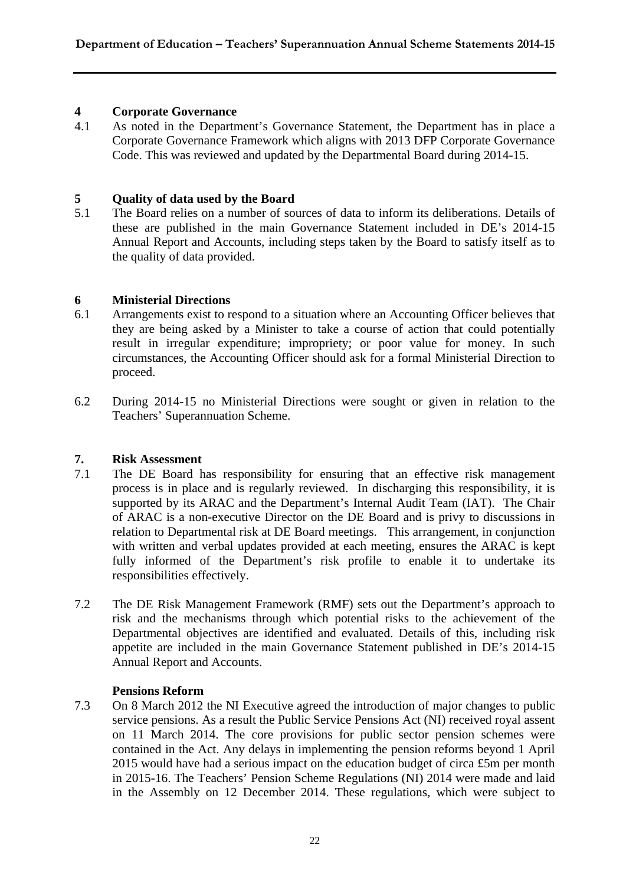#### **4 Corporate Governance**

4.1 As noted in the Department's Governance Statement, the Department has in place a Corporate Governance Framework which aligns with 2013 DFP Corporate Governance Code. This was reviewed and updated by the Departmental Board during 2014-15.

#### **5 Quality of data used by the Board**

5.1 The Board relies on a number of sources of data to inform its deliberations. Details of these are published in the main Governance Statement included in DE's 2014-15 Annual Report and Accounts, including steps taken by the Board to satisfy itself as to the quality of data provided.

#### **6 Ministerial Directions**

- 6.1 Arrangements exist to respond to a situation where an Accounting Officer believes that they are being asked by a Minister to take a course of action that could potentially result in irregular expenditure; impropriety; or poor value for money. In such circumstances, the Accounting Officer should ask for a formal Ministerial Direction to proceed.
- 6.2 During 2014-15 no Ministerial Directions were sought or given in relation to the Teachers' Superannuation Scheme.

#### **7. Risk Assessment**

- 7.1 The DE Board has responsibility for ensuring that an effective risk management process is in place and is regularly reviewed. In discharging this responsibility, it is supported by its ARAC and the Department's Internal Audit Team (IAT). The Chair of ARAC is a non-executive Director on the DE Board and is privy to discussions in relation to Departmental risk at DE Board meetings. This arrangement, in conjunction with written and verbal updates provided at each meeting, ensures the ARAC is kept fully informed of the Department's risk profile to enable it to undertake its responsibilities effectively.
- 7.2 The DE Risk Management Framework (RMF) sets out the Department's approach to risk and the mechanisms through which potential risks to the achievement of the Departmental objectives are identified and evaluated. Details of this, including risk appetite are included in the main Governance Statement published in DE's 2014-15 Annual Report and Accounts.

#### **Pensions Reform**

7.3 On 8 March 2012 the NI Executive agreed the introduction of major changes to public service pensions. As a result the Public Service Pensions Act (NI) received royal assent on 11 March 2014. The core provisions for public sector pension schemes were contained in the Act. Any delays in implementing the pension reforms beyond 1 April 2015 would have had a serious impact on the education budget of circa £5m per month in 2015-16. The Teachers' Pension Scheme Regulations (NI) 2014 were made and laid in the Assembly on 12 December 2014. These regulations, which were subject to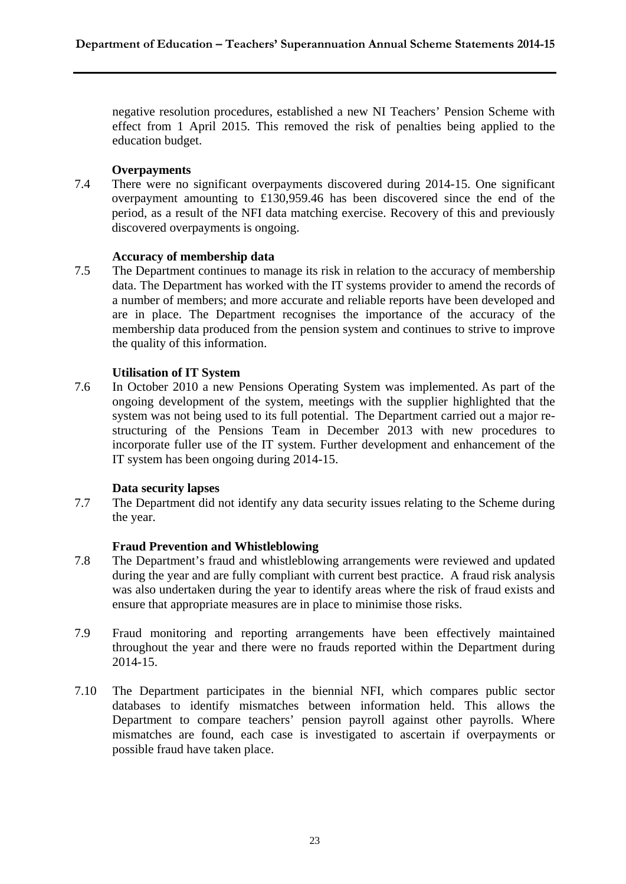negative resolution procedures, established a new NI Teachers' Pension Scheme with effect from 1 April 2015. This removed the risk of penalties being applied to the education budget.

#### **Overpayments**

7.4 There were no significant overpayments discovered during 2014-15. One significant overpayment amounting to £130,959.46 has been discovered since the end of the period, as a result of the NFI data matching exercise. Recovery of this and previously discovered overpayments is ongoing.

#### **Accuracy of membership data**

7.5 The Department continues to manage its risk in relation to the accuracy of membership data. The Department has worked with the IT systems provider to amend the records of a number of members; and more accurate and reliable reports have been developed and are in place. The Department recognises the importance of the accuracy of the membership data produced from the pension system and continues to strive to improve the quality of this information.

#### **Utilisation of IT System**

7.6 In October 2010 a new Pensions Operating System was implemented. As part of the ongoing development of the system, meetings with the supplier highlighted that the system was not being used to its full potential. The Department carried out a major restructuring of the Pensions Team in December 2013 with new procedures to incorporate fuller use of the IT system. Further development and enhancement of the IT system has been ongoing during 2014-15.

#### **Data security lapses**

7.7 The Department did not identify any data security issues relating to the Scheme during the year.

#### **Fraud Prevention and Whistleblowing**

- 7.8 The Department's fraud and whistleblowing arrangements were reviewed and updated during the year and are fully compliant with current best practice. A fraud risk analysis was also undertaken during the year to identify areas where the risk of fraud exists and ensure that appropriate measures are in place to minimise those risks.
- 7.9 Fraud monitoring and reporting arrangements have been effectively maintained throughout the year and there were no frauds reported within the Department during 2014-15.
- 7.10 The Department participates in the biennial NFI, which compares public sector databases to identify mismatches between information held. This allows the Department to compare teachers' pension payroll against other payrolls. Where mismatches are found, each case is investigated to ascertain if overpayments or possible fraud have taken place.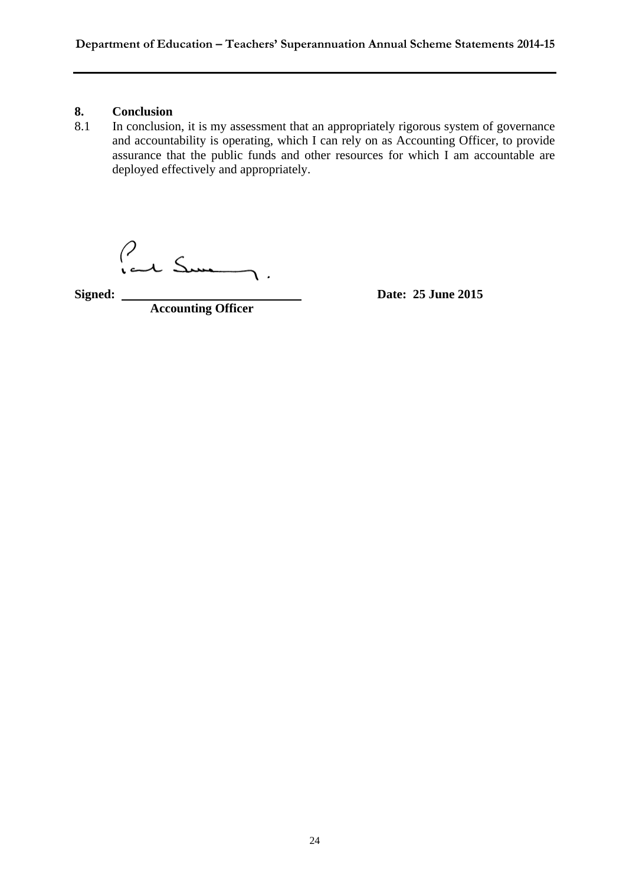# 8. **Conclusion**<br>8.1 In conclusio

In conclusion, it is my assessment that an appropriately rigorous system of governance and accountability is operating, which I can rely on as Accounting Officer, to provide assurance that the public funds and other resources for which I am accountable are deployed effectively and appropriately.

**Signed:**  $\begin{matrix} 2 & 3 \end{matrix}$   $\begin{matrix} \text{Date: } 25 \text{ June } 2015 \end{matrix}$ 

**Accounting Officer**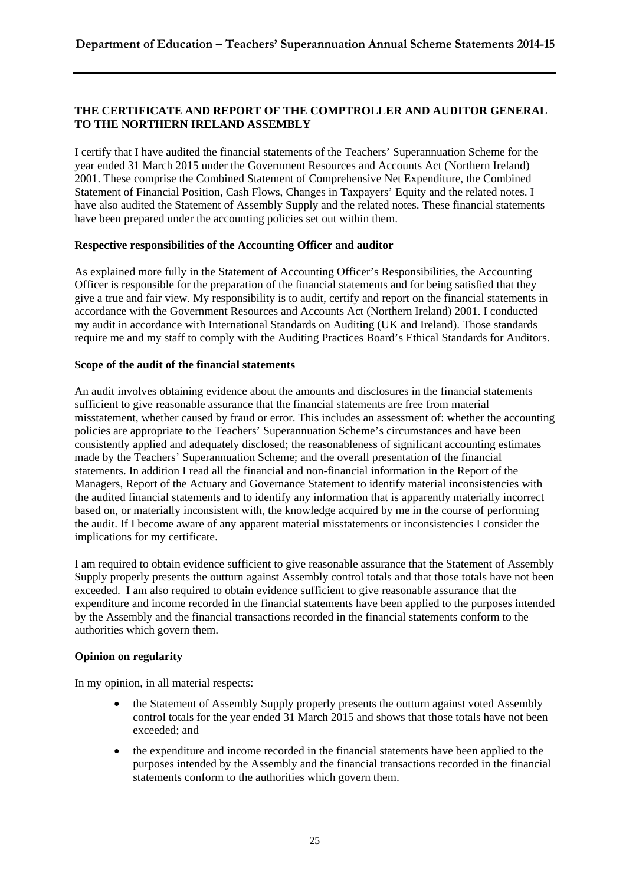#### **THE CERTIFICATE AND REPORT OF THE COMPTROLLER AND AUDITOR GENERAL TO THE NORTHERN IRELAND ASSEMBLY**

I certify that I have audited the financial statements of the Teachers' Superannuation Scheme for the year ended 31 March 2015 under the Government Resources and Accounts Act (Northern Ireland) 2001. These comprise the Combined Statement of Comprehensive Net Expenditure, the Combined Statement of Financial Position, Cash Flows, Changes in Taxpayers' Equity and the related notes. I have also audited the Statement of Assembly Supply and the related notes. These financial statements have been prepared under the accounting policies set out within them.

#### **Respective responsibilities of the Accounting Officer and auditor**

As explained more fully in the Statement of Accounting Officer's Responsibilities, the Accounting Officer is responsible for the preparation of the financial statements and for being satisfied that they give a true and fair view. My responsibility is to audit, certify and report on the financial statements in accordance with the Government Resources and Accounts Act (Northern Ireland) 2001. I conducted my audit in accordance with International Standards on Auditing (UK and Ireland). Those standards require me and my staff to comply with the Auditing Practices Board's Ethical Standards for Auditors.

#### **Scope of the audit of the financial statements**

An audit involves obtaining evidence about the amounts and disclosures in the financial statements sufficient to give reasonable assurance that the financial statements are free from material misstatement, whether caused by fraud or error. This includes an assessment of: whether the accounting policies are appropriate to the Teachers' Superannuation Scheme's circumstances and have been consistently applied and adequately disclosed; the reasonableness of significant accounting estimates made by the Teachers' Superannuation Scheme; and the overall presentation of the financial statements. In addition I read all the financial and non-financial information in the Report of the Managers, Report of the Actuary and Governance Statement to identify material inconsistencies with the audited financial statements and to identify any information that is apparently materially incorrect based on, or materially inconsistent with, the knowledge acquired by me in the course of performing the audit. If I become aware of any apparent material misstatements or inconsistencies I consider the implications for my certificate.

I am required to obtain evidence sufficient to give reasonable assurance that the Statement of Assembly Supply properly presents the outturn against Assembly control totals and that those totals have not been exceeded. I am also required to obtain evidence sufficient to give reasonable assurance that the expenditure and income recorded in the financial statements have been applied to the purposes intended by the Assembly and the financial transactions recorded in the financial statements conform to the authorities which govern them.

#### **Opinion on regularity**

In my opinion, in all material respects:

- the Statement of Assembly Supply properly presents the outturn against voted Assembly control totals for the year ended 31 March 2015 and shows that those totals have not been exceeded; and
- the expenditure and income recorded in the financial statements have been applied to the purposes intended by the Assembly and the financial transactions recorded in the financial statements conform to the authorities which govern them.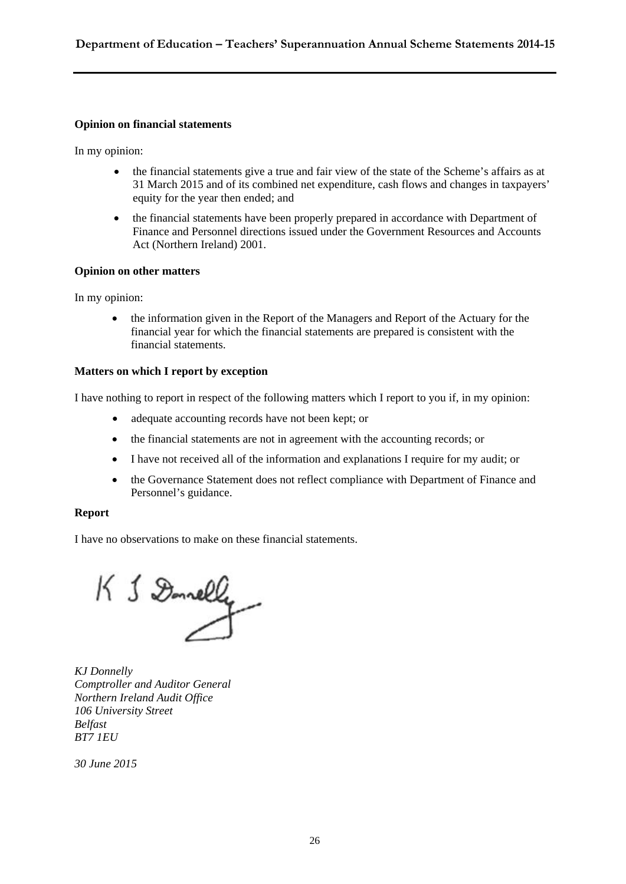#### **Opinion on financial statements**

In my opinion:

- the financial statements give a true and fair view of the state of the Scheme's affairs as at 31 March 2015 and of its combined net expenditure, cash flows and changes in taxpayers' equity for the year then ended; and
- the financial statements have been properly prepared in accordance with Department of Finance and Personnel directions issued under the Government Resources and Accounts Act (Northern Ireland) 2001.

#### **Opinion on other matters**

In my opinion:

 the information given in the Report of the Managers and Report of the Actuary for the financial year for which the financial statements are prepared is consistent with the financial statements.

#### **Matters on which I report by exception**

I have nothing to report in respect of the following matters which I report to you if, in my opinion:

- adequate accounting records have not been kept; or
- the financial statements are not in agreement with the accounting records; or
- I have not received all of the information and explanations I require for my audit; or
- the Governance Statement does not reflect compliance with Department of Finance and Personnel's guidance.

#### **Report**

I have no observations to make on these financial statements.

K & Donnelly

*KJ Donnelly Comptroller and Auditor General Northern Ireland Audit Office 106 University Street Belfast BT7 1EU* 

*30 June 2015*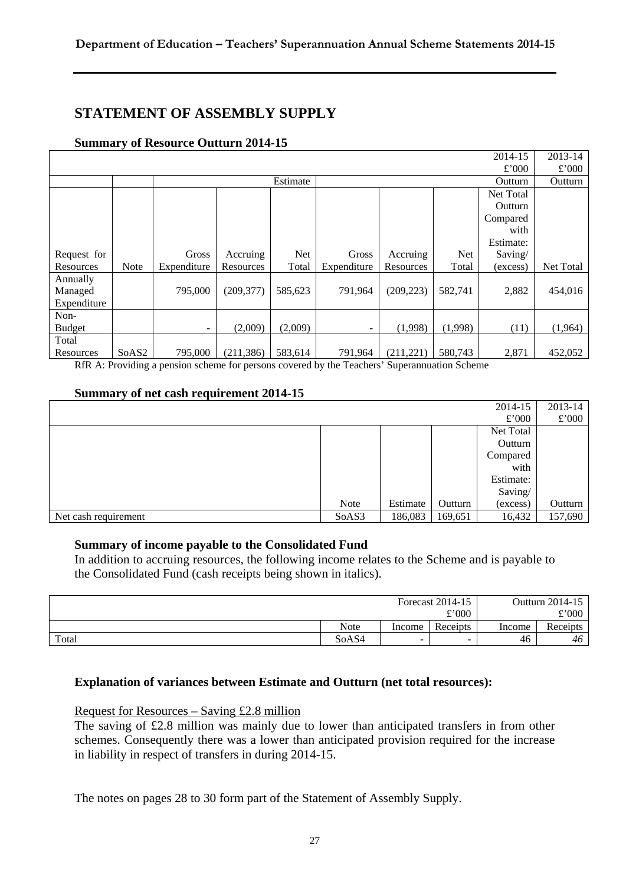### **STATEMENT OF ASSEMBLY SUPPLY**

#### **Summary of Resource Outturn 2014-15**

| 2014-15       |                   |             |            |            |             |            |            |                  | 2013-14          |
|---------------|-------------------|-------------|------------|------------|-------------|------------|------------|------------------|------------------|
|               |                   |             |            |            |             |            |            | £'000            | £'000            |
|               |                   |             |            | Estimate   |             |            |            | Outturn          | Outturn          |
|               |                   |             |            |            |             |            |            | <b>Net Total</b> |                  |
|               |                   |             |            |            |             |            |            | Outturn          |                  |
|               |                   |             |            |            |             |            |            | Compared         |                  |
|               |                   |             |            |            |             |            |            | with             |                  |
|               |                   |             |            |            |             |            |            | Estimate:        |                  |
| Request for   |                   | Gross       | Accruing   | <b>Net</b> | Gross       | Accruing   | <b>Net</b> | Saving/          |                  |
| Resources     | <b>Note</b>       | Expenditure | Resources  | Total      | Expenditure | Resources  | Total      | (excess)         | <b>Net Total</b> |
| Annually      |                   |             |            |            |             |            |            |                  |                  |
| Managed       |                   | 795,000     | (209, 377) | 585,623    | 791,964     | (209, 223) | 582,741    | 2,882            | 454,016          |
| Expenditure   |                   |             |            |            |             |            |            |                  |                  |
| Non-          |                   |             |            |            |             |            |            |                  |                  |
| <b>Budget</b> |                   | -           | (2,009)    | (2,009)    | ٠           | (1,998)    | (1,998)    | (11)             | (1,964)          |
| Total         |                   |             |            |            |             |            |            |                  |                  |
| Resources     | SoAS <sub>2</sub> | 795,000     | (211, 386) | 583,614    | 791,964     | (211, 221) | 580,743    | 2,871            | 452,052          |

RfR A: Providing a pension scheme for persons covered by the Teachers' Superannuation Scheme

#### **Summary of net cash requirement 2014-15**

| 2014-15              |       |          |         |           |         |  |
|----------------------|-------|----------|---------|-----------|---------|--|
|                      |       |          |         | £'000     | £'000   |  |
|                      |       |          |         | Net Total |         |  |
|                      |       |          |         | Outturn   |         |  |
|                      |       |          |         | Compared  |         |  |
|                      |       |          |         | with      |         |  |
|                      |       |          |         | Estimate: |         |  |
|                      |       |          |         | Saving/   |         |  |
|                      | Note  | Estimate | Outturn | (excess)  | Outturn |  |
| Net cash requirement | SoAS3 | 186,083  | 169,651 | 16,432    | 157,690 |  |

#### **Summary of income payable to the Consolidated Fund**

In addition to accruing resources, the following income relates to the Scheme and is payable to the Consolidated Fund (cash receipts being shown in italics).

| Forecast 2014-15 |             |        | Outturn 2014-15 |        |          |
|------------------|-------------|--------|-----------------|--------|----------|
|                  | £'000       |        |                 |        | £'000    |
|                  | <b>Note</b> | Income | Receipts        | Income | Receipts |
| Total            | SoAS4       | -      | -               | 46     | 46       |

#### **Explanation of variances between Estimate and Outturn (net total resources):**

#### Request for Resources – Saving £2.8 million

The saving of £2.8 million was mainly due to lower than anticipated transfers in from other schemes. Consequently there was a lower than anticipated provision required for the increase in liability in respect of transfers in during 2014-15.

The notes on pages 28 to 30 form part of the Statement of Assembly Supply.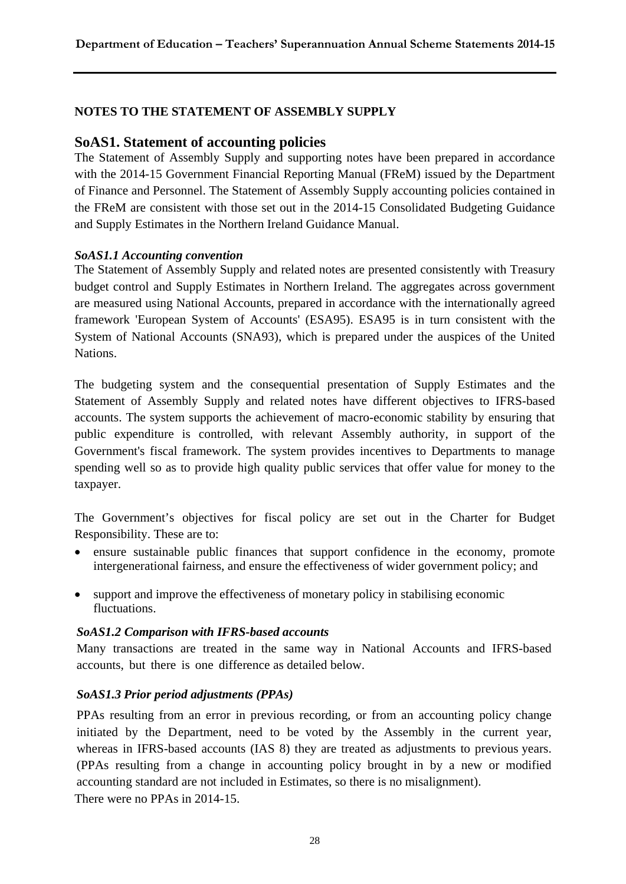#### **NOTES TO THE STATEMENT OF ASSEMBLY SUPPLY**

#### **SoAS1. Statement of accounting policies**

The Statement of Assembly Supply and supporting notes have been prepared in accordance with the 2014-15 Government Financial Reporting Manual (FReM) issued by the Department of Finance and Personnel. The Statement of Assembly Supply accounting policies contained in the FReM are consistent with those set out in the 2014-15 Consolidated Budgeting Guidance and Supply Estimates in the Northern Ireland Guidance Manual.

#### *SoAS1.1 Accounting convention*

The Statement of Assembly Supply and related notes are presented consistently with Treasury budget control and Supply Estimates in Northern Ireland. The aggregates across government are measured using National Accounts, prepared in accordance with the internationally agreed framework 'European System of Accounts' (ESA95). ESA95 is in turn consistent with the System of National Accounts (SNA93), which is prepared under the auspices of the United Nations.

The budgeting system and the consequential presentation of Supply Estimates and the Statement of Assembly Supply and related notes have different objectives to IFRS-based accounts. The system supports the achievement of macro-economic stability by ensuring that public expenditure is controlled, with relevant Assembly authority, in support of the Government's fiscal framework. The system provides incentives to Departments to manage spending well so as to provide high quality public services that offer value for money to the taxpayer.

The Government's objectives for fiscal policy are set out in the Charter for Budget Responsibility. These are to:

- ensure sustainable public finances that support confidence in the economy, promote intergenerational fairness, and ensure the effectiveness of wider government policy; and
- support and improve the effectiveness of monetary policy in stabilising economic fluctuations.

#### *SoAS1.2 Comparison with IFRS-based accounts*

Many transactions are treated in the same way in National Accounts and IFRS-based accounts, but there is one difference as detailed below.

#### *SoAS1.3 Prior period adjustments (PPAs)*

PPAs resulting from an error in previous recording, or from an accounting policy change initiated by the Department, need to be voted by the Assembly in the current year, whereas in IFRS-based accounts (IAS 8) they are treated as adjustments to previous years. (PPAs resulting from a change in accounting policy brought in by a new or modified accounting standard are not included in Estimates, so there is no misalignment). There were no PPAs in 2014-15.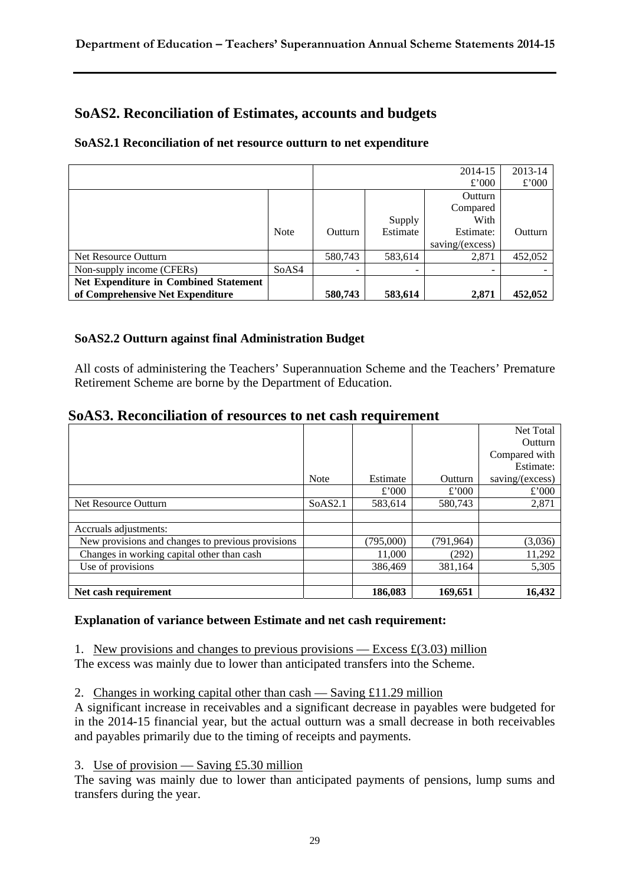### **SoAS2. Reconciliation of Estimates, accounts and budgets**

#### **SoAS2.1 Reconciliation of net resource outturn to net expenditure**

|                                              |             |                |          | 2014-15         | 2013-14 |
|----------------------------------------------|-------------|----------------|----------|-----------------|---------|
|                                              |             |                |          | £'000           | £'000   |
|                                              |             |                |          | Outturn         |         |
|                                              |             |                |          | Compared        |         |
|                                              |             |                | Supply   | With            |         |
|                                              | <b>Note</b> | <b>Outturn</b> | Estimate | Estimate:       | Outturn |
|                                              |             |                |          | saving/(excess) |         |
| Net Resource Outturn                         |             | 580,743        | 583,614  | 2,871           | 452,052 |
| Non-supply income (CFERs)                    | SoAS4       | ۰              |          |                 |         |
| <b>Net Expenditure in Combined Statement</b> |             |                |          |                 |         |
| of Comprehensive Net Expenditure             |             | 580,743        | 583,614  | 2,871           | 452,052 |

#### **SoAS2.2 Outturn against final Administration Budget**

All costs of administering the Teachers' Superannuation Scheme and the Teachers' Premature Retirement Scheme are borne by the Department of Education.

| SoAS3. Reconciliation of resources to net cash requirement |  |  |  |
|------------------------------------------------------------|--|--|--|
|------------------------------------------------------------|--|--|--|

|                                                   |             |           |            | Net Total       |
|---------------------------------------------------|-------------|-----------|------------|-----------------|
|                                                   |             |           |            | Outturn         |
|                                                   |             |           |            | Compared with   |
|                                                   |             |           |            | Estimate:       |
|                                                   | <b>Note</b> | Estimate  | Outturn    | saving/(excess) |
|                                                   |             | £'000     | £'000      | £'000           |
| Net Resource Outturn                              | SoAS2.1     | 583,614   | 580,743    | 2,871           |
|                                                   |             |           |            |                 |
| Accruals adjustments:                             |             |           |            |                 |
| New provisions and changes to previous provisions |             | (795,000) | (791, 964) | (3,036)         |
| Changes in working capital other than cash        |             | 11.000    | (292)      | 11,292          |
| Use of provisions                                 |             | 386,469   | 381,164    | 5,305           |
|                                                   |             |           |            |                 |
| Net cash requirement                              |             | 186,083   | 169,651    | 16,432          |

#### **Explanation of variance between Estimate and net cash requirement:**

1. New provisions and changes to previous provisions — Excess  $\mathfrak{t}(3.03)$  million

The excess was mainly due to lower than anticipated transfers into the Scheme.

2. Changes in working capital other than cash — Saving £11.29 million

A significant increase in receivables and a significant decrease in payables were budgeted for in the 2014-15 financial year, but the actual outturn was a small decrease in both receivables and payables primarily due to the timing of receipts and payments.

3. Use of provision — Saving £5.30 million

The saving was mainly due to lower than anticipated payments of pensions, lump sums and transfers during the year.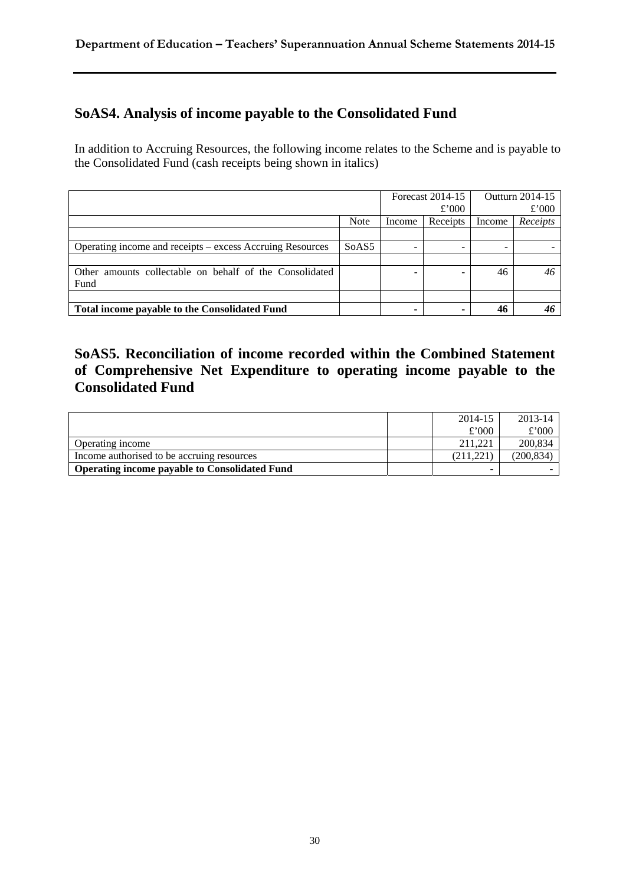# **SoAS4. Analysis of income payable to the Consolidated Fund**

In addition to Accruing Resources, the following income relates to the Scheme and is payable to the Consolidated Fund (cash receipts being shown in italics)

|                                                            |                   | Forecast 2014-15<br>£'000 |          |        | Outturn 2014-15<br>£'000 |
|------------------------------------------------------------|-------------------|---------------------------|----------|--------|--------------------------|
|                                                            | <b>Note</b>       | Income                    | Receipts | Income | Receipts                 |
|                                                            |                   |                           |          |        |                          |
| Operating income and receipts – excess Accruing Resources  | SoAS <sub>5</sub> |                           |          |        |                          |
|                                                            |                   |                           |          |        |                          |
| amounts collectable on behalf of the Consolidated<br>Other |                   |                           |          | 46     | 46                       |
| Fund                                                       |                   |                           |          |        |                          |
|                                                            |                   |                           |          |        |                          |
| Total income payable to the Consolidated Fund              |                   | -                         |          | 46     |                          |

### **SoAS5. Reconciliation of income recorded within the Combined Statement of Comprehensive Net Expenditure to operating income payable to the Consolidated Fund**

|                                                      | 2014-15   | 2013-14   |
|------------------------------------------------------|-----------|-----------|
|                                                      | £'000     | £'000     |
| Operating income                                     | 211.221   | 200,834   |
| Income authorised to be accruing resources           | (211.221) | (200.834) |
| <b>Operating income payable to Consolidated Fund</b> |           |           |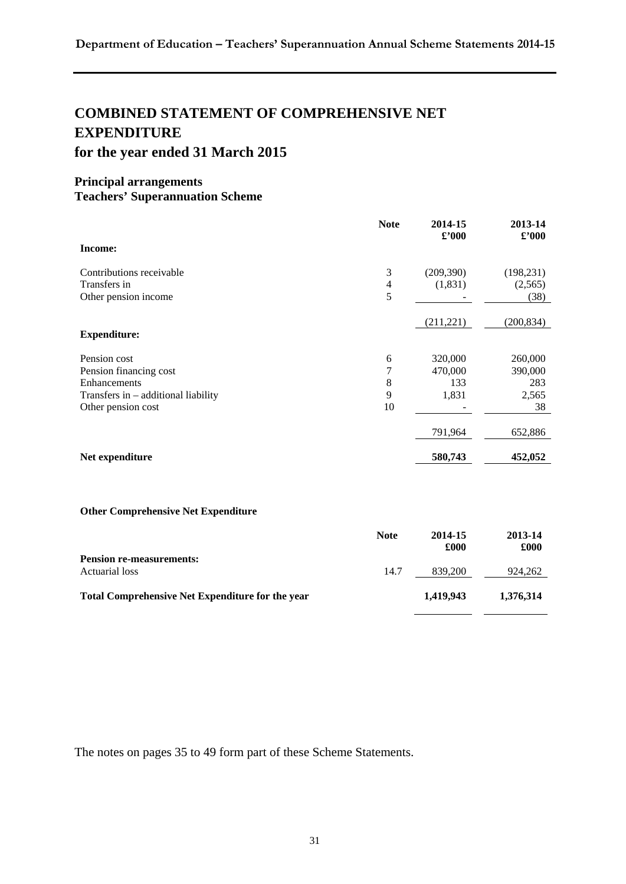# **COMBINED STATEMENT OF COMPREHENSIVE NET EXPENDITURE for the year ended 31 March 2015**

#### **Principal arrangements Teachers' Superannuation Scheme**

|                                       | <b>Note</b> | 2014-15<br>$\pounds$ '000 | 2013-14<br>$\pounds$ '000 |
|---------------------------------------|-------------|---------------------------|---------------------------|
| Income:                               |             |                           |                           |
| Contributions receivable              | 3           | (209, 390)                | (198, 231)                |
| Transfers in                          | 4           | (1, 831)                  | (2,565)                   |
| Other pension income                  | 5           |                           | (38)                      |
|                                       |             | (211, 221)                | (200, 834)                |
| <b>Expenditure:</b>                   |             |                           |                           |
| Pension cost                          | 6           | 320,000                   | 260,000                   |
| Pension financing cost                | 7           | 470,000                   | 390,000                   |
| Enhancements                          | 8           | 133                       | 283                       |
| Transfers in $-$ additional liability | 9           | 1,831                     | 2,565                     |
| Other pension cost                    | 10          |                           | 38                        |
|                                       |             | 791,964                   | 652,886                   |
| Net expenditure                       |             | 580,743                   | 452,052                   |

#### **Other Comprehensive Net Expenditure**

|                                                         | <b>Note</b> | 2014-15<br>£000 | 2013-14<br>£000 |
|---------------------------------------------------------|-------------|-----------------|-----------------|
| <b>Pension re-measurements:</b><br>Actuarial loss       | 14.7        | 839,200         | 924.262         |
| <b>Total Comprehensive Net Expenditure for the year</b> |             | 1,419,943       | 1.376.314       |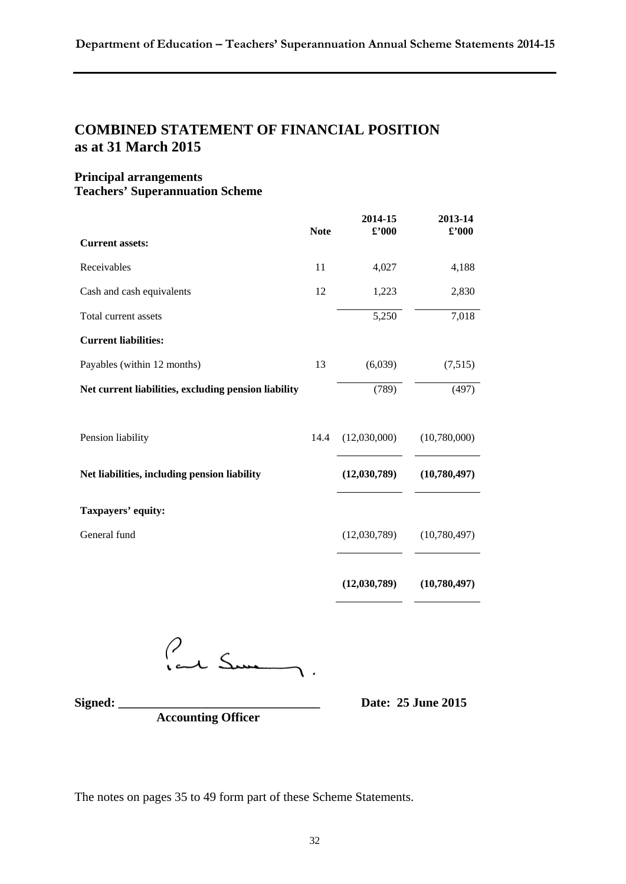### **COMBINED STATEMENT OF FINANCIAL POSITION as at 31 March 2015**

#### **Principal arrangements Teachers' Superannuation Scheme**

|                                                      | <b>Note</b> | 2014-15<br>$\pmb{\pounds}^{\prime}000$ | 2013-14<br>$\pounds$ '000 |
|------------------------------------------------------|-------------|----------------------------------------|---------------------------|
| <b>Current assets:</b>                               |             |                                        |                           |
| Receivables                                          | 11          | 4,027                                  | 4,188                     |
| Cash and cash equivalents                            | 12          | 1,223                                  | 2,830                     |
| Total current assets                                 |             | 5,250                                  | 7,018                     |
| <b>Current liabilities:</b>                          |             |                                        |                           |
| Payables (within 12 months)                          | 13          | (6,039)                                | (7,515)                   |
| Net current liabilities, excluding pension liability |             | (789)                                  | (497)                     |
|                                                      |             |                                        |                           |
| Pension liability                                    | 14.4        | (12,030,000)                           | (10,780,000)              |
| Net liabilities, including pension liability         |             | (12,030,789)                           | (10,780,497)              |
| Taxpayers' equity:                                   |             |                                        |                           |
| General fund                                         |             | (12,030,789)                           | (10,780,497)              |
|                                                      |             |                                        |                           |
|                                                      |             | (12,030,789)                           | (10,780,497)              |

Paul Sum

**Signed: \_\_\_\_\_\_\_\_\_\_\_\_\_\_\_\_\_\_\_\_\_\_\_\_\_\_\_\_\_\_\_\_ Date: 25 June 2015** 

 **Accounting Officer**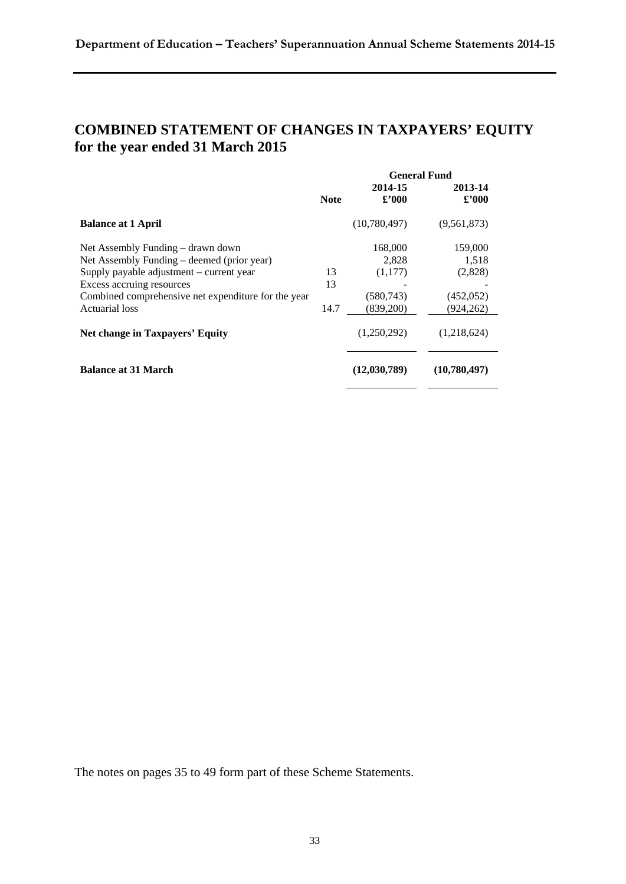# **COMBINED STATEMENT OF CHANGES IN TAXPAYERS' EQUITY for the year ended 31 March 2015**

|                                                     |             | <b>General Fund</b> |                |  |
|-----------------------------------------------------|-------------|---------------------|----------------|--|
|                                                     |             | 2014-15             | 2013-14        |  |
|                                                     | <b>Note</b> | £2000               | $\pounds$ '000 |  |
| <b>Balance at 1 April</b>                           |             | (10,780,497)        | (9,561,873)    |  |
| Net Assembly Funding – drawn down                   |             | 168,000             | 159,000        |  |
| Net Assembly Funding – deemed (prior year)          |             | 2,828               | 1,518          |  |
| Supply payable adjustment – current year            | 13          | (1,177)             | (2,828)        |  |
| Excess accruing resources                           | 13          |                     |                |  |
| Combined comprehensive net expenditure for the year |             | (580, 743)          | (452, 052)     |  |
| Actuarial loss                                      | 14.7        | (839,200)           | (924,262)      |  |
| Net change in Taxpayers' Equity                     |             | (1,250,292)         | (1,218,624)    |  |
| <b>Balance at 31 March</b>                          |             | (12,030,789)        | (10,780,497)   |  |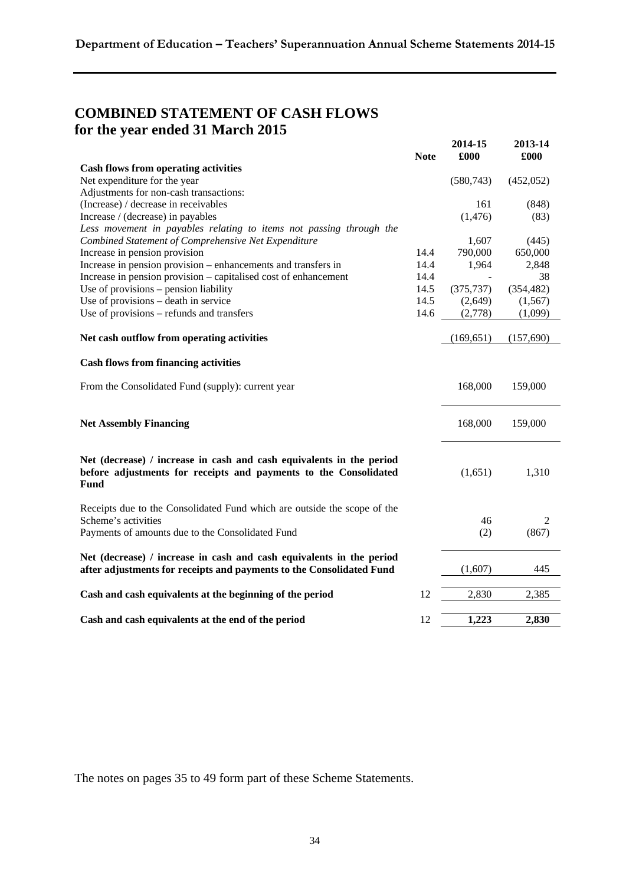# **COMBINED STATEMENT OF CASH FLOWS for the year ended 31 March 2015**

|                                                                                                                                                  | <b>Note</b> | 2014-15<br>£000 | 2013-14<br>£000 |
|--------------------------------------------------------------------------------------------------------------------------------------------------|-------------|-----------------|-----------------|
| <b>Cash flows from operating activities</b>                                                                                                      |             |                 |                 |
| Net expenditure for the year                                                                                                                     |             | (580, 743)      | (452, 052)      |
| Adjustments for non-cash transactions:                                                                                                           |             |                 |                 |
| (Increase) / decrease in receivables                                                                                                             |             | 161             | (848)           |
| Increase / (decrease) in payables                                                                                                                |             | (1, 476)        | (83)            |
| Less movement in payables relating to items not passing through the                                                                              |             |                 |                 |
| Combined Statement of Comprehensive Net Expenditure                                                                                              |             | 1,607           | (445)           |
| Increase in pension provision                                                                                                                    | 14.4        | 790,000         | 650,000         |
| Increase in pension provision – enhancements and transfers in                                                                                    | 14.4        | 1,964           | 2,848           |
| Increase in pension provision – capitalised cost of enhancement                                                                                  | 14.4        |                 | 38              |
| Use of provisions - pension liability                                                                                                            | 14.5        | (375, 737)      | (354, 482)      |
| Use of provisions - death in service                                                                                                             | 14.5        | (2,649)         | (1, 567)        |
| Use of provisions – refunds and transfers                                                                                                        | 14.6        | (2,778)         | (1,099)         |
| Net cash outflow from operating activities                                                                                                       |             | (169, 651)      | (157,690)       |
|                                                                                                                                                  |             |                 |                 |
| <b>Cash flows from financing activities</b>                                                                                                      |             |                 |                 |
| From the Consolidated Fund (supply): current year                                                                                                |             | 168,000         | 159,000         |
| <b>Net Assembly Financing</b>                                                                                                                    |             | 168,000         | 159,000         |
| Net (decrease) / increase in cash and cash equivalents in the period<br>before adjustments for receipts and payments to the Consolidated<br>Fund |             | (1,651)         | 1,310           |
| Receipts due to the Consolidated Fund which are outside the scope of the<br>Scheme's activities                                                  |             | 46              | 2               |
| Payments of amounts due to the Consolidated Fund                                                                                                 |             | (2)             | (867)           |
| Net (decrease) / increase in cash and cash equivalents in the period<br>after adjustments for receipts and payments to the Consolidated Fund     |             | (1,607)         | 445             |
|                                                                                                                                                  |             |                 |                 |
| Cash and cash equivalents at the beginning of the period                                                                                         | 12          | 2,830           | 2,385           |
| Cash and cash equivalents at the end of the period                                                                                               | 12          | 1,223           | 2,830           |
|                                                                                                                                                  |             |                 |                 |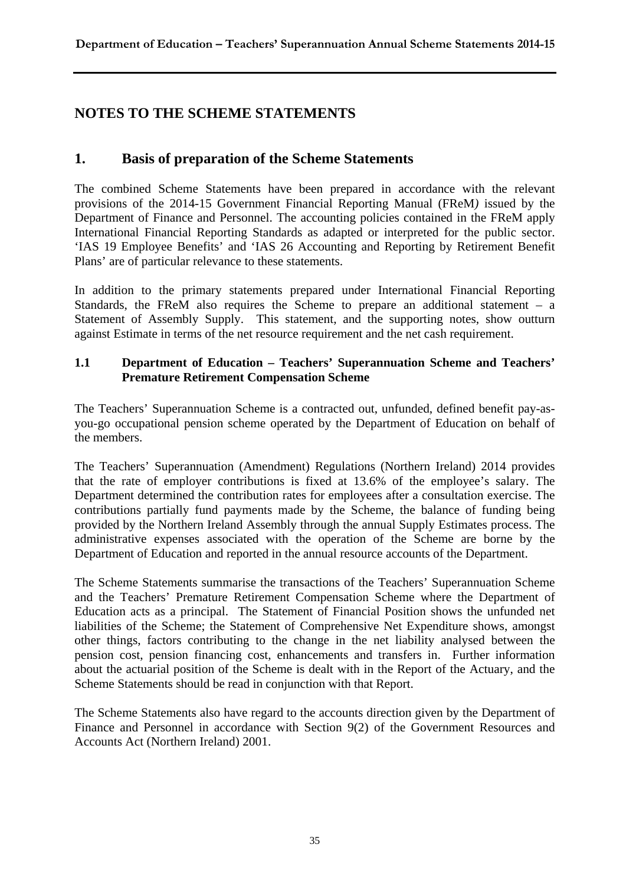### **NOTES TO THE SCHEME STATEMENTS**

### **1. Basis of preparation of the Scheme Statements**

The combined Scheme Statements have been prepared in accordance with the relevant provisions of the 2014-15 Government Financial Reporting Manual (FReM*)* issued by the Department of Finance and Personnel. The accounting policies contained in the FReM apply International Financial Reporting Standards as adapted or interpreted for the public sector. 'IAS 19 Employee Benefits' and 'IAS 26 Accounting and Reporting by Retirement Benefit Plans' are of particular relevance to these statements.

In addition to the primary statements prepared under International Financial Reporting Standards, the FReM also requires the Scheme to prepare an additional statement – a Statement of Assembly Supply. This statement, and the supporting notes, show outturn against Estimate in terms of the net resource requirement and the net cash requirement.

#### **1.1 Department of Education – Teachers' Superannuation Scheme and Teachers' Premature Retirement Compensation Scheme**

The Teachers' Superannuation Scheme is a contracted out, unfunded, defined benefit pay-asyou-go occupational pension scheme operated by the Department of Education on behalf of the members.

The Teachers' Superannuation (Amendment) Regulations (Northern Ireland) 2014 provides that the rate of employer contributions is fixed at 13.6% of the employee's salary. The Department determined the contribution rates for employees after a consultation exercise. The contributions partially fund payments made by the Scheme, the balance of funding being provided by the Northern Ireland Assembly through the annual Supply Estimates process. The administrative expenses associated with the operation of the Scheme are borne by the Department of Education and reported in the annual resource accounts of the Department.

The Scheme Statements summarise the transactions of the Teachers' Superannuation Scheme and the Teachers' Premature Retirement Compensation Scheme where the Department of Education acts as a principal. The Statement of Financial Position shows the unfunded net liabilities of the Scheme; the Statement of Comprehensive Net Expenditure shows, amongst other things, factors contributing to the change in the net liability analysed between the pension cost, pension financing cost, enhancements and transfers in. Further information about the actuarial position of the Scheme is dealt with in the Report of the Actuary, and the Scheme Statements should be read in conjunction with that Report.

The Scheme Statements also have regard to the accounts direction given by the Department of Finance and Personnel in accordance with Section 9(2) of the Government Resources and Accounts Act (Northern Ireland) 2001.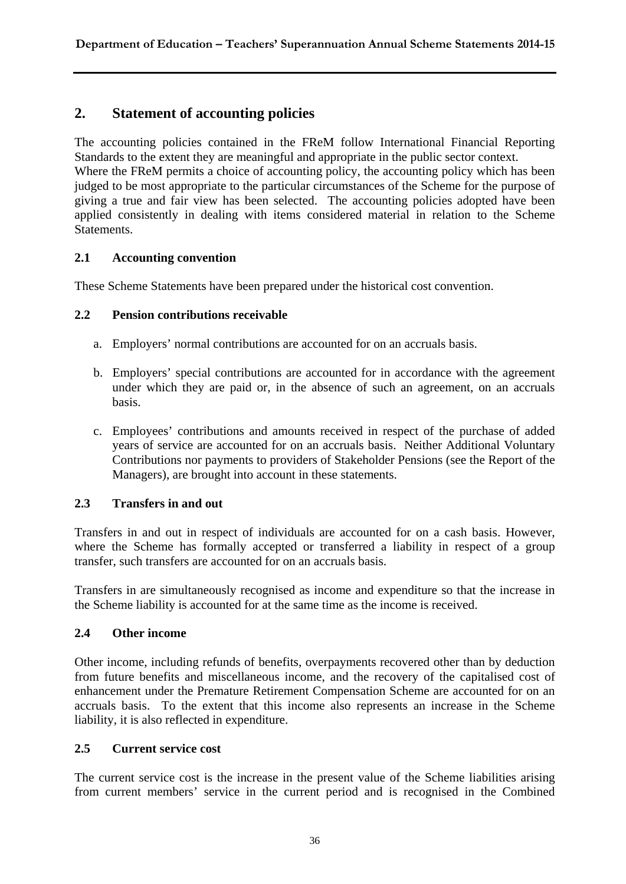### **2. Statement of accounting policies**

The accounting policies contained in the FReM follow International Financial Reporting Standards to the extent they are meaningful and appropriate in the public sector context.

Where the FReM permits a choice of accounting policy, the accounting policy which has been judged to be most appropriate to the particular circumstances of the Scheme for the purpose of giving a true and fair view has been selected. The accounting policies adopted have been applied consistently in dealing with items considered material in relation to the Scheme Statements.

#### **2.1 Accounting convention**

These Scheme Statements have been prepared under the historical cost convention.

#### **2.2 Pension contributions receivable**

- a. Employers' normal contributions are accounted for on an accruals basis.
- b. Employers' special contributions are accounted for in accordance with the agreement under which they are paid or, in the absence of such an agreement, on an accruals basis.
- c. Employees' contributions and amounts received in respect of the purchase of added years of service are accounted for on an accruals basis. Neither Additional Voluntary Contributions nor payments to providers of Stakeholder Pensions (see the Report of the Managers), are brought into account in these statements.

#### **2.3 Transfers in and out**

Transfers in and out in respect of individuals are accounted for on a cash basis. However, where the Scheme has formally accepted or transferred a liability in respect of a group transfer, such transfers are accounted for on an accruals basis.

Transfers in are simultaneously recognised as income and expenditure so that the increase in the Scheme liability is accounted for at the same time as the income is received.

#### **2.4 Other income**

Other income, including refunds of benefits, overpayments recovered other than by deduction from future benefits and miscellaneous income, and the recovery of the capitalised cost of enhancement under the Premature Retirement Compensation Scheme are accounted for on an accruals basis. To the extent that this income also represents an increase in the Scheme liability, it is also reflected in expenditure.

#### **2.5 Current service cost**

The current service cost is the increase in the present value of the Scheme liabilities arising from current members' service in the current period and is recognised in the Combined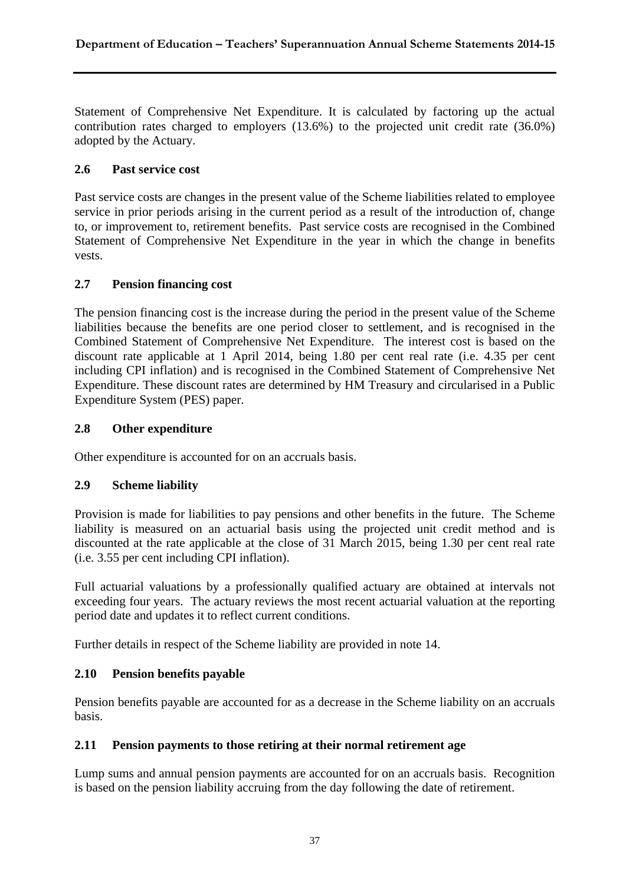Statement of Comprehensive Net Expenditure. It is calculated by factoring up the actual contribution rates charged to employers (13.6%) to the projected unit credit rate (36.0%) adopted by the Actuary.

#### **2.6 Past service cost**

Past service costs are changes in the present value of the Scheme liabilities related to employee service in prior periods arising in the current period as a result of the introduction of, change to, or improvement to, retirement benefits. Past service costs are recognised in the Combined Statement of Comprehensive Net Expenditure in the year in which the change in benefits vests.

#### **2.7 Pension financing cost**

The pension financing cost is the increase during the period in the present value of the Scheme liabilities because the benefits are one period closer to settlement, and is recognised in the Combined Statement of Comprehensive Net Expenditure. The interest cost is based on the discount rate applicable at 1 April 2014, being 1.80 per cent real rate (i.e. 4.35 per cent including CPI inflation) and is recognised in the Combined Statement of Comprehensive Net Expenditure. These discount rates are determined by HM Treasury and circularised in a Public Expenditure System (PES) paper.

#### **2.8 Other expenditure**

Other expenditure is accounted for on an accruals basis.

#### **2.9 Scheme liability**

Provision is made for liabilities to pay pensions and other benefits in the future. The Scheme liability is measured on an actuarial basis using the projected unit credit method and is discounted at the rate applicable at the close of 31 March 2015, being 1.30 per cent real rate (i.e. 3.55 per cent including CPI inflation).

Full actuarial valuations by a professionally qualified actuary are obtained at intervals not exceeding four years. The actuary reviews the most recent actuarial valuation at the reporting period date and updates it to reflect current conditions.

Further details in respect of the Scheme liability are provided in note 14.

#### **2.10 Pension benefits payable**

Pension benefits payable are accounted for as a decrease in the Scheme liability on an accruals basis.

#### **2.11 Pension payments to those retiring at their normal retirement age**

Lump sums and annual pension payments are accounted for on an accruals basis. Recognition is based on the pension liability accruing from the day following the date of retirement.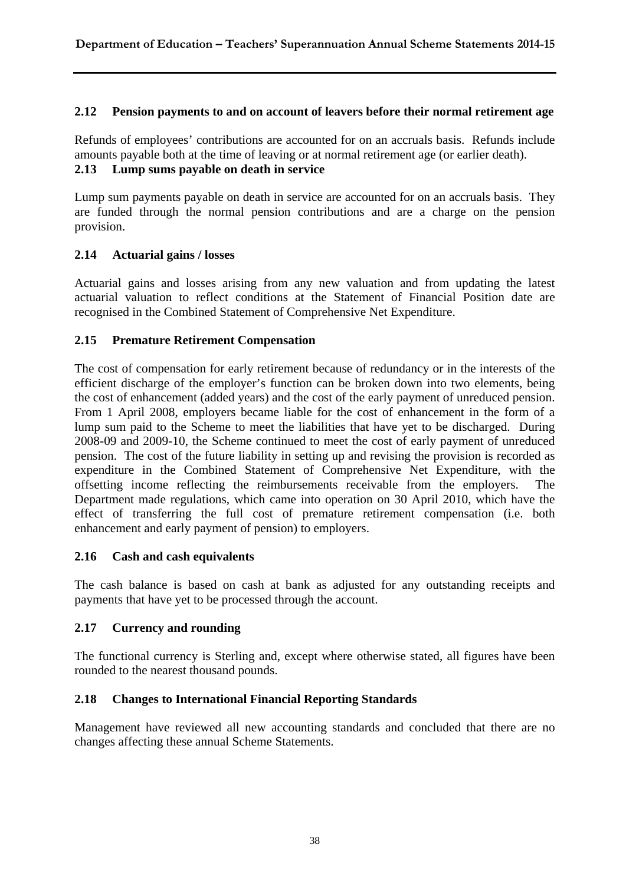#### **2.12 Pension payments to and on account of leavers before their normal retirement age**

Refunds of employees' contributions are accounted for on an accruals basis. Refunds include amounts payable both at the time of leaving or at normal retirement age (or earlier death). **2.13 Lump sums payable on death in service**

Lump sum payments payable on death in service are accounted for on an accruals basis. They are funded through the normal pension contributions and are a charge on the pension provision.

#### **2.14 Actuarial gains / losses**

Actuarial gains and losses arising from any new valuation and from updating the latest actuarial valuation to reflect conditions at the Statement of Financial Position date are recognised in the Combined Statement of Comprehensive Net Expenditure.

#### **2.15 Premature Retirement Compensation**

The cost of compensation for early retirement because of redundancy or in the interests of the efficient discharge of the employer's function can be broken down into two elements, being the cost of enhancement (added years) and the cost of the early payment of unreduced pension. From 1 April 2008, employers became liable for the cost of enhancement in the form of a lump sum paid to the Scheme to meet the liabilities that have yet to be discharged. During 2008-09 and 2009-10, the Scheme continued to meet the cost of early payment of unreduced pension. The cost of the future liability in setting up and revising the provision is recorded as expenditure in the Combined Statement of Comprehensive Net Expenditure, with the offsetting income reflecting the reimbursements receivable from the employers. The Department made regulations, which came into operation on 30 April 2010, which have the effect of transferring the full cost of premature retirement compensation (i.e. both enhancement and early payment of pension) to employers.

#### **2.16 Cash and cash equivalents**

The cash balance is based on cash at bank as adjusted for any outstanding receipts and payments that have yet to be processed through the account.

#### **2.17 Currency and rounding**

The functional currency is Sterling and, except where otherwise stated, all figures have been rounded to the nearest thousand pounds.

#### **2.18 Changes to International Financial Reporting Standards**

Management have reviewed all new accounting standards and concluded that there are no changes affecting these annual Scheme Statements.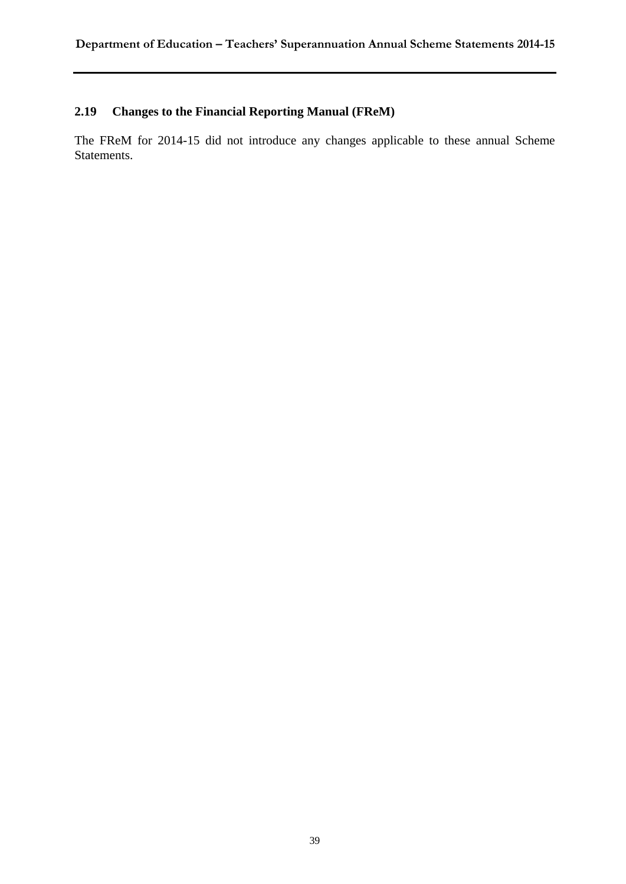### **2.19 Changes to the Financial Reporting Manual (FReM)**

The FReM for 2014-15 did not introduce any changes applicable to these annual Scheme Statements.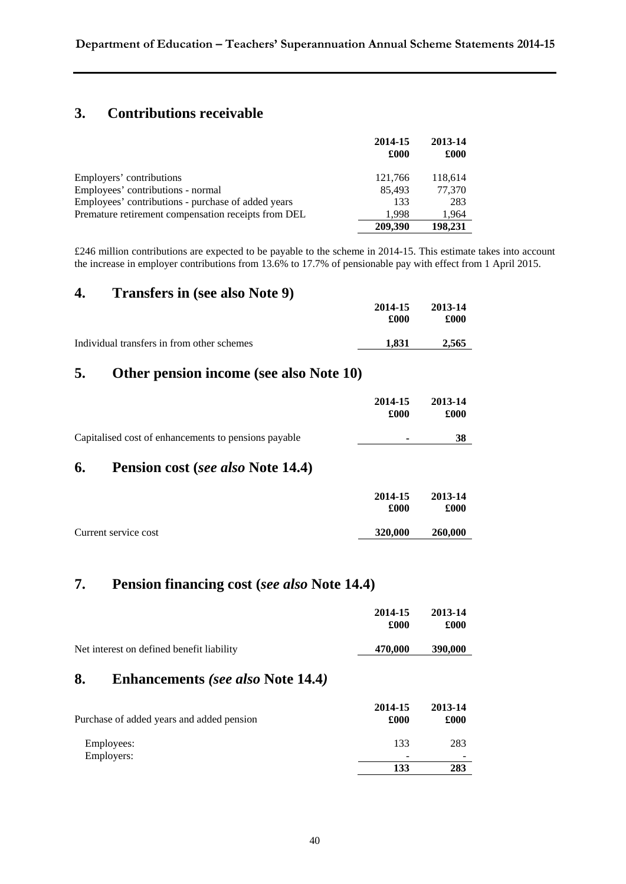### **3. Contributions receivable**

|                                                     | 2014-15<br>£000 | 2013-14<br>£000 |
|-----------------------------------------------------|-----------------|-----------------|
| Employers' contributions                            | 121,766         | 118,614         |
| Employees' contributions - normal                   | 85,493          | 77,370          |
| Employees' contributions - purchase of added years  | 133             | 283             |
| Premature retirement compensation receipts from DEL | 1.998           | 1,964           |
|                                                     | 209,390         | 198.231         |

£246 million contributions are expected to be payable to the scheme in 2014-15. This estimate takes into account the increase in employer contributions from 13.6% to 17.7% of pensionable pay with effect from 1 April 2015.

#### **4. Transfers in (see also Note 9)**

|                                            | 2014-15<br>£000 | 2013-14<br>£000 |
|--------------------------------------------|-----------------|-----------------|
| Individual transfers in from other schemes | 1.831           | 2.565           |

### **5. Other pension income (see also Note 10)**

|                                                      | 2014-15<br>£000 | 2013-14<br>£000 |
|------------------------------------------------------|-----------------|-----------------|
| Capitalised cost of enhancements to pensions payable | ۰               | 38              |

### **6. Pension cost (***see also* **Note 14.4)**

|                      | 2014-15<br>£000 | 2013-14<br>£000 |
|----------------------|-----------------|-----------------|
| Current service cost | 320,000         | 260,000         |

### **7. Pension financing cost (***see also* **Note 14.4)**

|                                           | 2014-15<br>£000 | 2013-14<br>£000 |
|-------------------------------------------|-----------------|-----------------|
| Net interest on defined benefit liability | 470,000         | 390,000         |

### **8. Enhancements** *(see also* **Note 14.4***)*

| Purchase of added years and added pension | 2014-15<br>£000          | 2013-14<br>£000 |
|-------------------------------------------|--------------------------|-----------------|
| Employees:                                | 133                      | 283             |
| Employers:                                | $\overline{\phantom{0}}$ |                 |
|                                           | 133                      | 283             |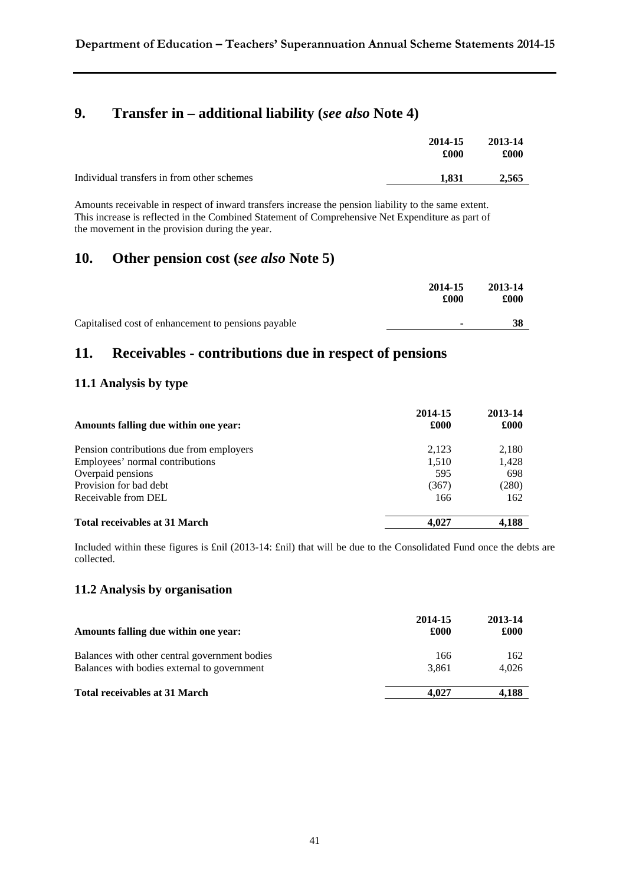### **9. Transfer in – additional liability (***see also* **Note 4)**

|                                            | 2014-15<br>£000 | 2013-14<br>£000 |
|--------------------------------------------|-----------------|-----------------|
| Individual transfers in from other schemes | 1.831           | 2.565           |

Amounts receivable in respect of inward transfers increase the pension liability to the same extent. This increase is reflected in the Combined Statement of Comprehensive Net Expenditure as part of the movement in the provision during the year.

### **10. Other pension cost (***see also* **Note 5)**

|                                                     | 2014-15<br>£000 | 2013-14<br>£000 |
|-----------------------------------------------------|-----------------|-----------------|
| Capitalised cost of enhancement to pensions payable | ۰               | 38              |

### **11. Receivables - contributions due in respect of pensions**

#### **11.1 Analysis by type**

| Amounts falling due within one year:     | 2014-15<br>£000 | 2013-14<br>£000 |
|------------------------------------------|-----------------|-----------------|
| Pension contributions due from employers | 2.123           | 2,180           |
| Employees' normal contributions          | 1,510           | 1,428           |
| Overpaid pensions                        | 595             | 698             |
| Provision for bad debt                   | (367)           | (280)           |
| Receivable from DEL                      | 166             | 162             |
| <b>Total receivables at 31 March</b>     | 4.027           | 4.188           |

Included within these figures is £nil (2013-14: £nil) that will be due to the Consolidated Fund once the debts are collected.

#### **11.2 Analysis by organisation**

| Amounts falling due within one year:          | 2014-15<br>£000 | 2013-14<br>£000 |
|-----------------------------------------------|-----------------|-----------------|
| Balances with other central government bodies | 166             | 162             |
| Balances with bodies external to government   | 3.861           | 4.026           |
| <b>Total receivables at 31 March</b>          | 4.027           | 4,188           |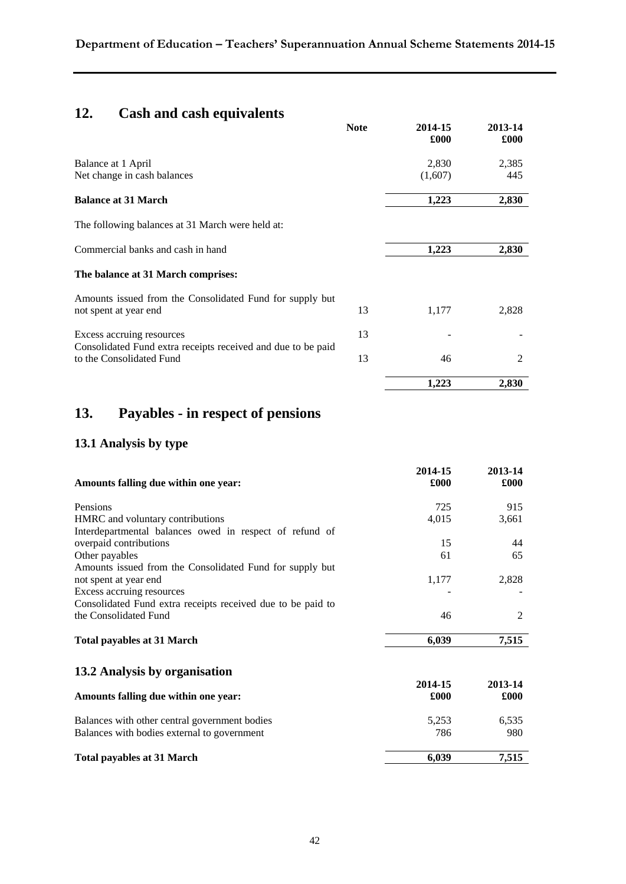# **12. Cash and cash equivalents**

|                                                                                          | <b>Note</b> | 2014-15<br>£000 | 2013-14<br>£000 |
|------------------------------------------------------------------------------------------|-------------|-----------------|-----------------|
| Balance at 1 April                                                                       |             | 2,830           | 2,385           |
| Net change in cash balances                                                              |             | (1,607)         | 445             |
| <b>Balance at 31 March</b>                                                               |             | 1,223           | 2,830           |
| The following balances at 31 March were held at:                                         |             |                 |                 |
| Commercial banks and cash in hand                                                        |             | 1,223           | 2,830           |
| The balance at 31 March comprises:                                                       |             |                 |                 |
| Amounts issued from the Consolidated Fund for supply but                                 |             |                 |                 |
| not spent at year end                                                                    | 13          | 1,177           | 2,828           |
| Excess accruing resources                                                                | 13          |                 |                 |
| Consolidated Fund extra receipts received and due to be paid<br>to the Consolidated Fund | 13          | 46              | 2               |
|                                                                                          |             | 1,223           | 2,830           |

# **13. Payables - in respect of pensions**

### **13.1 Analysis by type**

| Amounts falling due within one year:                        | 2014-15<br>£000 | 2013-14<br>£000 |
|-------------------------------------------------------------|-----------------|-----------------|
| Pensions                                                    | 725             | 915             |
| HMRC and voluntary contributions                            | 4,015           | 3,661           |
| Interdepartmental balances owed in respect of refund of     |                 |                 |
| overpaid contributions                                      | 15              | 44              |
| Other payables                                              | 61              | 65              |
| Amounts issued from the Consolidated Fund for supply but    |                 |                 |
| not spent at year end                                       | 1,177           | 2,828           |
| Excess accruing resources                                   |                 |                 |
| Consolidated Fund extra receipts received due to be paid to |                 |                 |
| the Consolidated Fund                                       | 46              | 2               |
| <b>Total payables at 31 March</b>                           | 6,039           | 7,515           |
| 13.2 Analysis by organisation                               |                 |                 |
|                                                             | 2014-15         | 2013-14         |
| Amounts falling due within one year:                        | £000            | £000            |
| Balances with other central government bodies               | 5,253           | 6,535           |
| Balances with bodies external to government                 | 786             | 980             |
| <b>Total payables at 31 March</b>                           | 6,039           | 7,515           |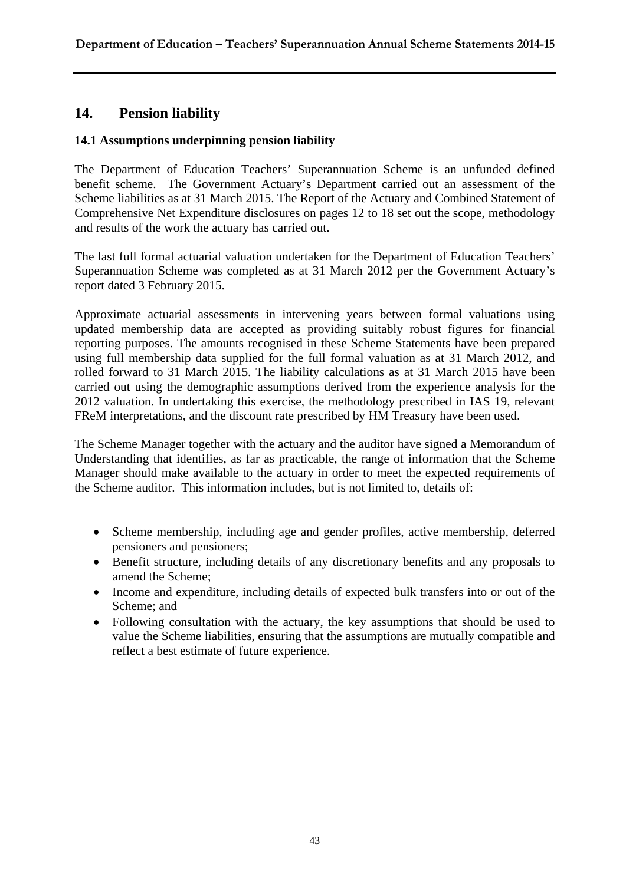### **14. Pension liability**

#### **14.1 Assumptions underpinning pension liability**

The Department of Education Teachers' Superannuation Scheme is an unfunded defined benefit scheme. The Government Actuary's Department carried out an assessment of the Scheme liabilities as at 31 March 2015. The Report of the Actuary and Combined Statement of Comprehensive Net Expenditure disclosures on pages 12 to 18 set out the scope, methodology and results of the work the actuary has carried out.

The last full formal actuarial valuation undertaken for the Department of Education Teachers' Superannuation Scheme was completed as at 31 March 2012 per the Government Actuary's report dated 3 February 2015.

Approximate actuarial assessments in intervening years between formal valuations using updated membership data are accepted as providing suitably robust figures for financial reporting purposes. The amounts recognised in these Scheme Statements have been prepared using full membership data supplied for the full formal valuation as at 31 March 2012, and rolled forward to 31 March 2015. The liability calculations as at 31 March 2015 have been carried out using the demographic assumptions derived from the experience analysis for the 2012 valuation. In undertaking this exercise, the methodology prescribed in IAS 19, relevant FReM interpretations, and the discount rate prescribed by HM Treasury have been used.

The Scheme Manager together with the actuary and the auditor have signed a Memorandum of Understanding that identifies, as far as practicable, the range of information that the Scheme Manager should make available to the actuary in order to meet the expected requirements of the Scheme auditor. This information includes, but is not limited to, details of:

- Scheme membership, including age and gender profiles, active membership, deferred pensioners and pensioners;
- Benefit structure, including details of any discretionary benefits and any proposals to amend the Scheme;
- Income and expenditure, including details of expected bulk transfers into or out of the Scheme; and
- Following consultation with the actuary, the key assumptions that should be used to value the Scheme liabilities, ensuring that the assumptions are mutually compatible and reflect a best estimate of future experience.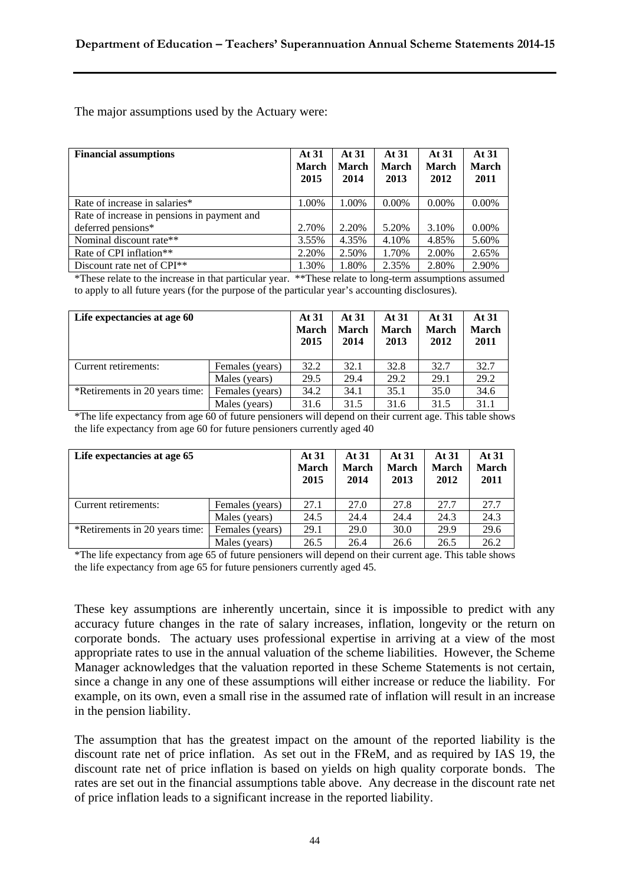The major assumptions used by the Actuary were:

| <b>Financial assumptions</b>                | At 31<br><b>March</b><br>2015 | At 31<br><b>March</b><br>2014 | At 31<br>March<br>2013 | At 31<br>March<br>2012 | At 31<br><b>March</b><br>2011 |
|---------------------------------------------|-------------------------------|-------------------------------|------------------------|------------------------|-------------------------------|
| Rate of increase in salaries*               | 1.00%                         | 1.00%                         | $0.00\%$               | $0.00\%$               | $0.00\%$                      |
| Rate of increase in pensions in payment and |                               |                               |                        |                        |                               |
| deferred pensions*                          | 2.70%                         | 2.20%                         | 5.20%                  | 3.10%                  | $0.00\%$                      |
| Nominal discount rate**                     | 3.55%                         | 4.35%                         | 4.10%                  | 4.85%                  | 5.60%                         |
| Rate of CPI inflation <sup>**</sup>         | 2.20%                         | 2.50%                         | 1.70%                  | 2.00%                  | 2.65%                         |
| Discount rate net of $\text{CPI**}$         | 1.30%                         | 1.80%                         | 2.35%                  | 2.80%                  | 2.90%                         |

\*These relate to the increase in that particular year. \*\*These relate to long-term assumptions assumed to apply to all future years (for the purpose of the particular year's accounting disclosures).

| Life expectancies at age 60    |                 | At 31<br><b>March</b><br>2015 | At 31<br><b>March</b><br>2014 | At 31<br><b>March</b><br>2013 | At 31<br><b>March</b><br>2012 | At 31<br><b>March</b><br>2011 |
|--------------------------------|-----------------|-------------------------------|-------------------------------|-------------------------------|-------------------------------|-------------------------------|
| Current retirements:           | Females (years) | 32.2                          | 32.1                          | 32.8                          | 32.7                          | 32.7                          |
|                                | Males (years)   | 29.5                          | 29.4                          | 29.2                          | 29.1                          | 29.2                          |
| *Retirements in 20 years time: | Females (years) | 34.2                          | 34.1                          | 35.1                          | 35.0                          | 34.6                          |
|                                | Males (years)   | 31.6                          | 31.5                          | 31.6                          | 31.5                          | 31.1                          |

\*The life expectancy from age 60 of future pensioners will depend on their current age. This table shows the life expectancy from age 60 for future pensioners currently aged 40

| Life expectancies at age 65    |                 | At 31<br><b>March</b><br>2015 | At 31<br><b>March</b><br>2014 | At 31<br><b>March</b><br>2013 | At 31<br><b>March</b><br>2012 | At 31<br><b>March</b><br>2011 |
|--------------------------------|-----------------|-------------------------------|-------------------------------|-------------------------------|-------------------------------|-------------------------------|
| Current retirements:           | Females (years) | 27.1                          | 27.0                          | 27.8                          | 27.7                          | 27.7                          |
|                                | Males (years)   | 24.5                          | 24.4                          | 24.4                          | 24.3                          | 24.3                          |
| *Retirements in 20 years time: | Females (years) | 29.1                          | 29.0                          | 30.0                          | 29.9                          | 29.6                          |
|                                | Males (years)   | 26.5                          | 26.4                          | 26.6                          | 26.5                          | 26.2                          |

\*The life expectancy from age 65 of future pensioners will depend on their current age. This table shows the life expectancy from age 65 for future pensioners currently aged 45.

These key assumptions are inherently uncertain, since it is impossible to predict with any accuracy future changes in the rate of salary increases, inflation, longevity or the return on corporate bonds. The actuary uses professional expertise in arriving at a view of the most appropriate rates to use in the annual valuation of the scheme liabilities. However, the Scheme Manager acknowledges that the valuation reported in these Scheme Statements is not certain, since a change in any one of these assumptions will either increase or reduce the liability. For example, on its own, even a small rise in the assumed rate of inflation will result in an increase in the pension liability.

The assumption that has the greatest impact on the amount of the reported liability is the discount rate net of price inflation. As set out in the FReM, and as required by IAS 19, the discount rate net of price inflation is based on yields on high quality corporate bonds. The rates are set out in the financial assumptions table above. Any decrease in the discount rate net of price inflation leads to a significant increase in the reported liability.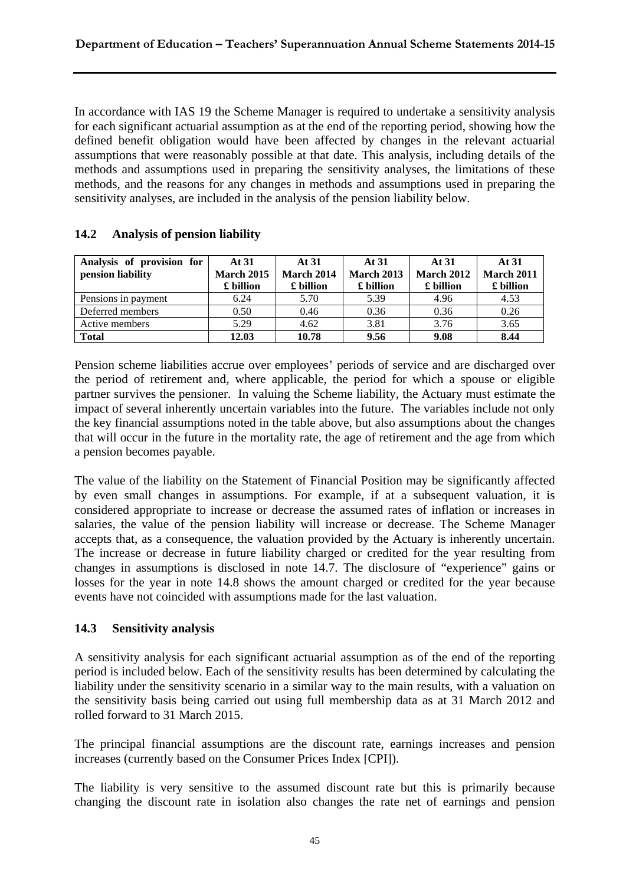In accordance with IAS 19 the Scheme Manager is required to undertake a sensitivity analysis for each significant actuarial assumption as at the end of the reporting period, showing how the defined benefit obligation would have been affected by changes in the relevant actuarial assumptions that were reasonably possible at that date. This analysis, including details of the methods and assumptions used in preparing the sensitivity analyses, the limitations of these methods, and the reasons for any changes in methods and assumptions used in preparing the sensitivity analyses, are included in the analysis of the pension liability below.

| Analysis of provision for<br>pension liability | At $31$<br><b>March 2015</b><br>£ billion | At 31<br>March 2014<br>£ billion | At 31<br><b>March 2013</b><br>£ billion | At 31<br><b>March 2012</b><br>£ billion | At 31<br>March 2011<br>£ billion |
|------------------------------------------------|-------------------------------------------|----------------------------------|-----------------------------------------|-----------------------------------------|----------------------------------|
| Pensions in payment                            | 6.24                                      | 5.70                             | 5.39                                    | 4.96                                    | 4.53                             |
| Deferred members                               | 0.50                                      | 0.46                             | 0.36                                    | 0.36                                    | 0.26                             |
| Active members                                 | 5.29                                      | 4.62                             | 3.81                                    | 3.76                                    | 3.65                             |
| <b>Total</b>                                   | 12.03                                     | 10.78                            | 9.56                                    | 9.08                                    | 8.44                             |

### **14.2 Analysis of pension liability**

Pension scheme liabilities accrue over employees' periods of service and are discharged over the period of retirement and, where applicable, the period for which a spouse or eligible partner survives the pensioner. In valuing the Scheme liability, the Actuary must estimate the impact of several inherently uncertain variables into the future. The variables include not only the key financial assumptions noted in the table above, but also assumptions about the changes that will occur in the future in the mortality rate, the age of retirement and the age from which a pension becomes payable.

The value of the liability on the Statement of Financial Position may be significantly affected by even small changes in assumptions. For example, if at a subsequent valuation, it is considered appropriate to increase or decrease the assumed rates of inflation or increases in salaries, the value of the pension liability will increase or decrease. The Scheme Manager accepts that, as a consequence, the valuation provided by the Actuary is inherently uncertain. The increase or decrease in future liability charged or credited for the year resulting from changes in assumptions is disclosed in note 14.7. The disclosure of "experience" gains or losses for the year in note 14.8 shows the amount charged or credited for the year because events have not coincided with assumptions made for the last valuation.

#### **14.3 Sensitivity analysis**

A sensitivity analysis for each significant actuarial assumption as of the end of the reporting period is included below. Each of the sensitivity results has been determined by calculating the liability under the sensitivity scenario in a similar way to the main results, with a valuation on the sensitivity basis being carried out using full membership data as at 31 March 2012 and rolled forward to 31 March 2015.

The principal financial assumptions are the discount rate, earnings increases and pension increases (currently based on the Consumer Prices Index [CPI]).

The liability is very sensitive to the assumed discount rate but this is primarily because changing the discount rate in isolation also changes the rate net of earnings and pension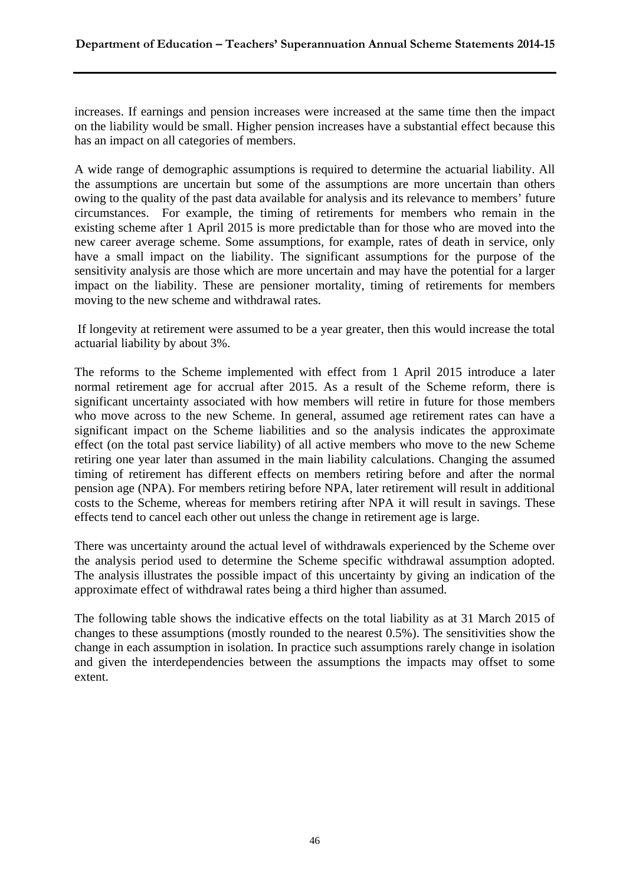increases. If earnings and pension increases were increased at the same time then the impact on the liability would be small. Higher pension increases have a substantial effect because this has an impact on all categories of members.

A wide range of demographic assumptions is required to determine the actuarial liability. All the assumptions are uncertain but some of the assumptions are more uncertain than others owing to the quality of the past data available for analysis and its relevance to members' future circumstances. For example, the timing of retirements for members who remain in the existing scheme after 1 April 2015 is more predictable than for those who are moved into the new career average scheme. Some assumptions, for example, rates of death in service, only have a small impact on the liability. The significant assumptions for the purpose of the sensitivity analysis are those which are more uncertain and may have the potential for a larger impact on the liability. These are pensioner mortality, timing of retirements for members moving to the new scheme and withdrawal rates.

 If longevity at retirement were assumed to be a year greater, then this would increase the total actuarial liability by about 3%.

The reforms to the Scheme implemented with effect from 1 April 2015 introduce a later normal retirement age for accrual after 2015. As a result of the Scheme reform, there is significant uncertainty associated with how members will retire in future for those members who move across to the new Scheme. In general, assumed age retirement rates can have a significant impact on the Scheme liabilities and so the analysis indicates the approximate effect (on the total past service liability) of all active members who move to the new Scheme retiring one year later than assumed in the main liability calculations. Changing the assumed timing of retirement has different effects on members retiring before and after the normal pension age (NPA). For members retiring before NPA, later retirement will result in additional costs to the Scheme, whereas for members retiring after NPA it will result in savings. These effects tend to cancel each other out unless the change in retirement age is large.

There was uncertainty around the actual level of withdrawals experienced by the Scheme over the analysis period used to determine the Scheme specific withdrawal assumption adopted. The analysis illustrates the possible impact of this uncertainty by giving an indication of the approximate effect of withdrawal rates being a third higher than assumed.

The following table shows the indicative effects on the total liability as at 31 March 2015 of changes to these assumptions (mostly rounded to the nearest 0.5%). The sensitivities show the change in each assumption in isolation. In practice such assumptions rarely change in isolation and given the interdependencies between the assumptions the impacts may offset to some extent.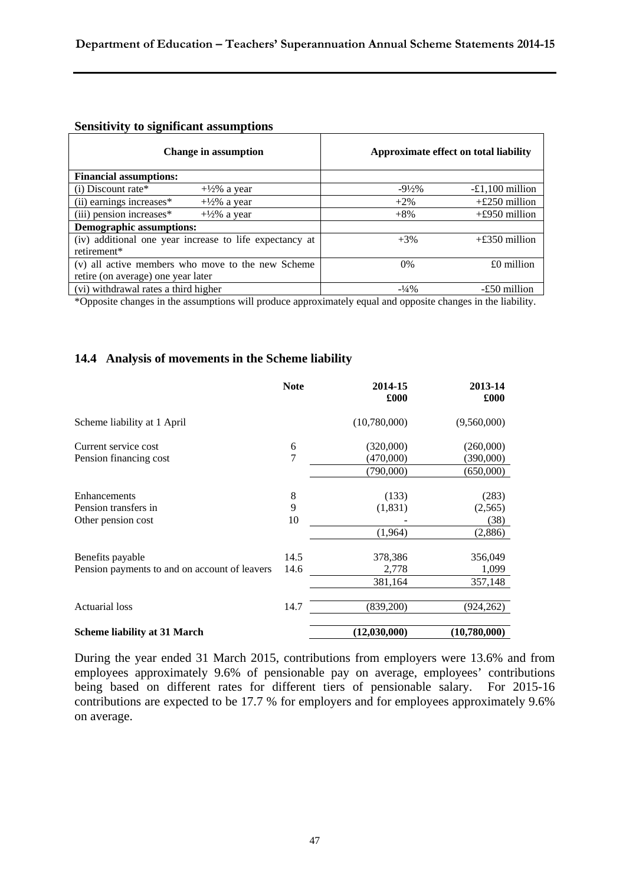#### **Sensitivity to significant assumptions**

| <b>Change in assumption</b>                              | Approximate effect on total liability |                   |
|----------------------------------------------------------|---------------------------------------|-------------------|
| <b>Financial assumptions:</b>                            |                                       |                   |
| $(i)$ Discount rate*<br>$+\frac{1}{2}\%$ a year          | $-9\frac{1}{2}\%$                     | $-£1,100$ million |
| (ii) earnings increases*<br>$+\frac{1}{2}\%$ a year      | $+2\%$                                | $+£250$ million   |
| $(iii)$ pension increases $*$<br>$+\frac{1}{2}\%$ a year | $+8%$                                 | $+£950$ million   |
| <b>Demographic assumptions:</b>                          |                                       |                   |
| (iv) additional one year increase to life expectancy at  | $+3%$                                 | $+£350$ million   |
| retirement*                                              |                                       |                   |
| (v) all active members who move to the new Scheme        | $0\%$                                 | $£0$ million      |
| retire (on average) one year later                       |                                       |                   |
| (vi) withdrawal rates a third higher                     | $-1/4\%$                              | -£50 million      |

\*Opposite changes in the assumptions will produce approximately equal and opposite changes in the liability.

#### **14.4 Analysis of movements in the Scheme liability**

|                                               | <b>Note</b> | 2014-15<br>£000 | 2013-14<br>£000 |
|-----------------------------------------------|-------------|-----------------|-----------------|
| Scheme liability at 1 April                   |             | (10,780,000)    | (9,560,000)     |
| Current service cost                          | 6           | (320,000)       | (260,000)       |
| Pension financing cost                        | 7           | (470,000)       | (390,000)       |
|                                               |             | (790,000)       | (650,000)       |
|                                               |             |                 |                 |
| Enhancements                                  | 8           | (133)           | (283)           |
| Pension transfers in                          | 9           | (1,831)         | (2,565)         |
| Other pension cost                            | 10          |                 | (38)            |
|                                               |             | (1,964)         | (2,886)         |
| Benefits payable                              | 14.5        | 378,386         | 356,049         |
| Pension payments to and on account of leavers | 14.6        | 2,778           | 1,099           |
|                                               |             |                 |                 |
|                                               |             | 381,164         | 357,148         |
| <b>Actuarial</b> loss                         | 14.7        | (839,200)       | (924, 262)      |
| <b>Scheme liability at 31 March</b>           |             | (12,030,000)    | (10,780,000)    |

During the year ended 31 March 2015, contributions from employers were 13.6% and from employees approximately 9.6% of pensionable pay on average, employees' contributions being based on different rates for different tiers of pensionable salary. For 2015-16 contributions are expected to be 17.7 % for employers and for employees approximately 9.6% on average.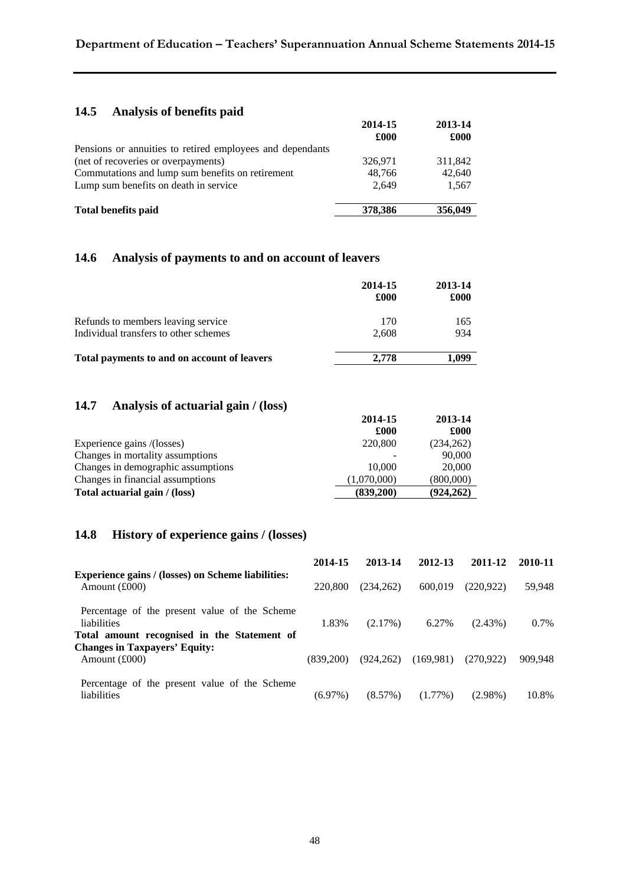### **Department of Education – Teachers' Superannuation Annual Scheme Statements 2014-15**

### **14.5 Analysis of benefits paid**

|                                                           | 2014-15 | 2013-14 |
|-----------------------------------------------------------|---------|---------|
|                                                           | £000    | £000    |
| Pensions or annuities to retired employees and dependants |         |         |
| (net of recoveries or overpayments)                       | 326,971 | 311,842 |
| Commutations and lump sum benefits on retirement          | 48.766  | 42,640  |
| Lump sum benefits on death in service                     | 2.649   | 1,567   |
| <b>Total benefits paid</b>                                | 378,386 | 356,049 |

#### **14.6 Analysis of payments to and on account of leavers**

|                                             | 2014-15<br>£000 | 2013-14<br>£000 |
|---------------------------------------------|-----------------|-----------------|
| Refunds to members leaving service          | 170             | 165             |
| Individual transfers to other schemes       | 2.608           | 934             |
| Total payments to and on account of leavers | 2.778           | 1,099           |

### **14.7 Analysis of actuarial gain / (loss)**

|                                    | 2014-15     | 2013-14    |
|------------------------------------|-------------|------------|
|                                    | £000        | £000       |
| Experience gains /(losses)         | 220,800     | (234,262)  |
| Changes in mortality assumptions   |             | 90,000     |
| Changes in demographic assumptions | 10,000      | 20,000     |
| Changes in financial assumptions   | (1,070,000) | (800,000)  |
| Total actuarial gain / (loss)      | (839,200)   | (924, 262) |

#### **14.8 History of experience gains / (losses)**

|                                                                                                                    | 2014-15    | 2013-14    | 2012-13    | 2011-12    | 2010-11 |
|--------------------------------------------------------------------------------------------------------------------|------------|------------|------------|------------|---------|
| <b>Experience gains / (losses) on Scheme liabilities:</b><br>Amount $(\text{\pounds}000)$                          | 220,800    | (234.262)  | 600.019    | (220, 922) | 59,948  |
| Percentage of the present value of the Scheme<br><i>liabilities</i><br>Total amount recognised in the Statement of | 1.83%      | $(2.17\%)$ | 6.27%      | $(2.43\%)$ | $0.7\%$ |
| <b>Changes in Taxpayers' Equity:</b><br>Amount $(\text{\pounds}000)$                                               | (839.200)  | (924.262)  | (169.981)  | (270.922)  | 909.948 |
| Percentage of the present value of the Scheme<br>liabilities                                                       | $(6.97\%)$ | (8.57%)    | $(1.77\%)$ | $(2.98\%)$ | 10.8%   |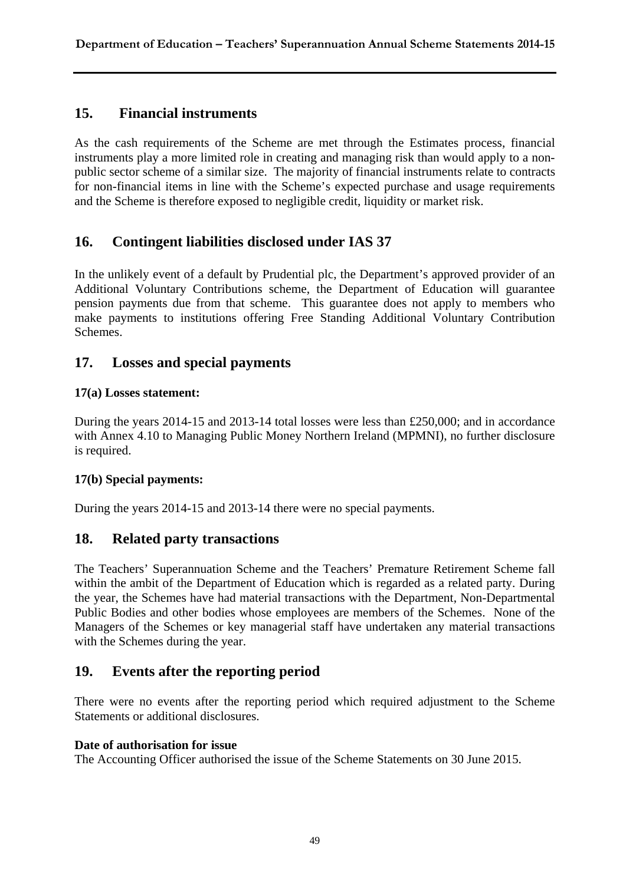### **15. Financial instruments**

As the cash requirements of the Scheme are met through the Estimates process, financial instruments play a more limited role in creating and managing risk than would apply to a nonpublic sector scheme of a similar size. The majority of financial instruments relate to contracts for non-financial items in line with the Scheme's expected purchase and usage requirements and the Scheme is therefore exposed to negligible credit, liquidity or market risk.

### **16. Contingent liabilities disclosed under IAS 37**

In the unlikely event of a default by Prudential plc, the Department's approved provider of an Additional Voluntary Contributions scheme, the Department of Education will guarantee pension payments due from that scheme. This guarantee does not apply to members who make payments to institutions offering Free Standing Additional Voluntary Contribution Schemes.

### **17. Losses and special payments**

### **17(a) Losses statement:**

During the years 2014-15 and 2013-14 total losses were less than £250,000; and in accordance with Annex 4.10 to Managing Public Money Northern Ireland (MPMNI), no further disclosure is required.

### **17(b) Special payments:**

During the years 2014-15 and 2013-14 there were no special payments.

### **18. Related party transactions**

The Teachers' Superannuation Scheme and the Teachers' Premature Retirement Scheme fall within the ambit of the Department of Education which is regarded as a related party. During the year, the Schemes have had material transactions with the Department, Non-Departmental Public Bodies and other bodies whose employees are members of the Schemes. None of the Managers of the Schemes or key managerial staff have undertaken any material transactions with the Schemes during the year.

### **19. Events after the reporting period**

There were no events after the reporting period which required adjustment to the Scheme Statements or additional disclosures.

#### **Date of authorisation for issue**

The Accounting Officer authorised the issue of the Scheme Statements on 30 June 2015.